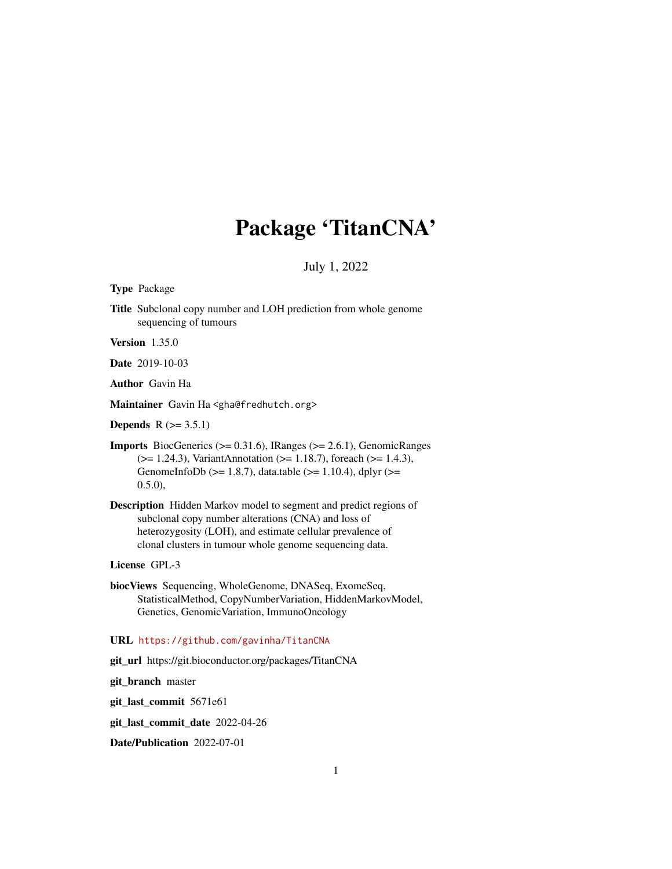# Package 'TitanCNA'

July 1, 2022

<span id="page-0-0"></span>Type Package

Title Subclonal copy number and LOH prediction from whole genome sequencing of tumours

Version 1.35.0

Date 2019-10-03

Author Gavin Ha

Maintainer Gavin Ha <gha@fredhutch.org>

**Depends**  $R$  ( $>= 3.5.1$ )

- Imports BiocGenerics (>= 0.31.6), IRanges (>= 2.6.1), GenomicRanges (>= 1.24.3), VariantAnnotation (>= 1.18.7), foreach (>= 1.4.3), GenomeInfoDb ( $>= 1.8.7$ ), data.table ( $>= 1.10.4$ ), dplyr ( $>=$ 0.5.0),
- Description Hidden Markov model to segment and predict regions of subclonal copy number alterations (CNA) and loss of heterozygosity (LOH), and estimate cellular prevalence of clonal clusters in tumour whole genome sequencing data.

License GPL-3

biocViews Sequencing, WholeGenome, DNASeq, ExomeSeq, StatisticalMethod, CopyNumberVariation, HiddenMarkovModel, Genetics, GenomicVariation, ImmunoOncology

URL <https://github.com/gavinha/TitanCNA>

git\_url https://git.bioconductor.org/packages/TitanCNA

git\_branch master

git\_last\_commit 5671e61

git\_last\_commit\_date 2022-04-26

Date/Publication 2022-07-01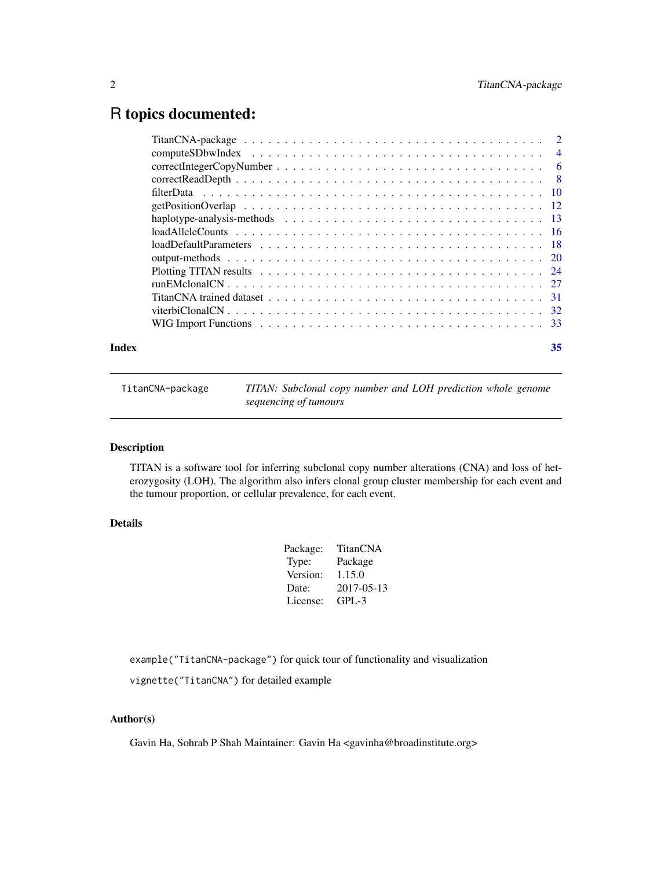# <span id="page-1-0"></span>R topics documented:

TitanCNA-package *TITAN: Subclonal copy number and LOH prediction whole genome sequencing of tumours*

# Description

TITAN is a software tool for inferring subclonal copy number alterations (CNA) and loss of heterozygosity (LOH). The algorithm also infers clonal group cluster membership for each event and the tumour proportion, or cellular prevalence, for each event.

# Details

| Package: | TitanCNA   |
|----------|------------|
| Type:    | Package    |
| Version: | 1.15.0     |
| Date:    | 2017-05-13 |
| License: | $GPI - 3$  |
|          |            |

example("TitanCNA-package") for quick tour of functionality and visualization

vignette("TitanCNA") for detailed example

# Author(s)

Gavin Ha, Sohrab P Shah Maintainer: Gavin Ha <gavinha@broadinstitute.org>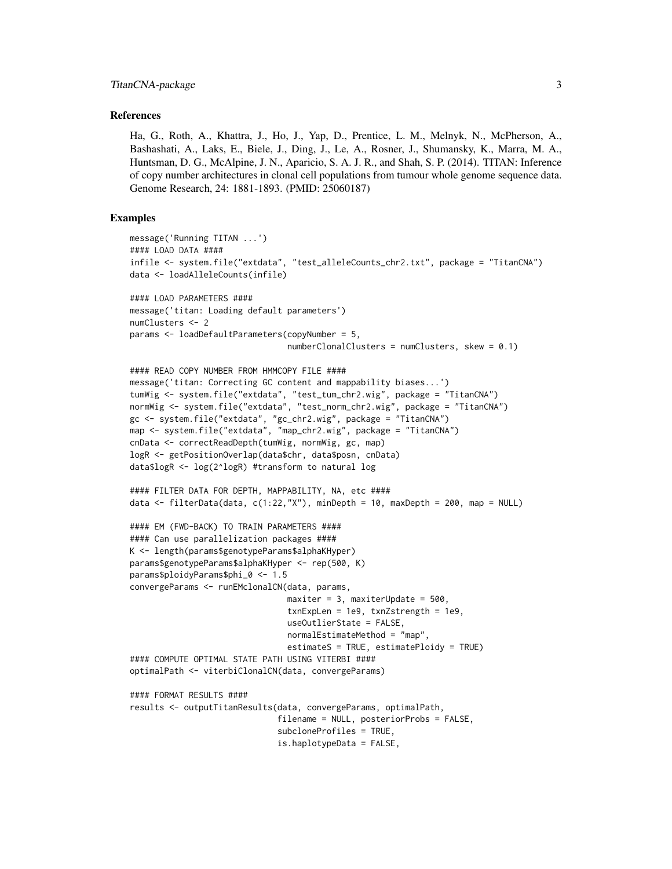#### References

Ha, G., Roth, A., Khattra, J., Ho, J., Yap, D., Prentice, L. M., Melnyk, N., McPherson, A., Bashashati, A., Laks, E., Biele, J., Ding, J., Le, A., Rosner, J., Shumansky, K., Marra, M. A., Huntsman, D. G., McAlpine, J. N., Aparicio, S. A. J. R., and Shah, S. P. (2014). TITAN: Inference of copy number architectures in clonal cell populations from tumour whole genome sequence data. Genome Research, 24: 1881-1893. (PMID: 25060187)

### Examples

```
message('Running TITAN ...')
#### LOAD DATA ####
infile <- system.file("extdata", "test_alleleCounts_chr2.txt", package = "TitanCNA")
data <- loadAlleleCounts(infile)
#### LOAD PARAMETERS ####
message('titan: Loading default parameters')
numClusters <- 2
params <- loadDefaultParameters(copyNumber = 5,
                                numberClonalClusters = numClusters, skew = 0.1)
#### READ COPY NUMBER FROM HMMCOPY FILE ####
message('titan: Correcting GC content and mappability biases...')
tumWig <- system.file("extdata", "test_tum_chr2.wig", package = "TitanCNA")
normWig <- system.file("extdata", "test_norm_chr2.wig", package = "TitanCNA")
gc <- system.file("extdata", "gc_chr2.wig", package = "TitanCNA")
map <- system.file("extdata", "map_chr2.wig", package = "TitanCNA")
cnData <- correctReadDepth(tumWig, normWig, gc, map)
logR <- getPositionOverlap(data$chr, data$posn, cnData)
data$logR <- log(2^logR) #transform to natural log
#### FILTER DATA FOR DEPTH, MAPPABILITY, NA, etc ####
data <- filterData(data, c(1:22,"X"), minDepth = 10, maxDepth = 200, map = NULL)
#### EM (FWD-BACK) TO TRAIN PARAMETERS ####
#### Can use parallelization packages ####
K <- length(params$genotypeParams$alphaKHyper)
params$genotypeParams$alphaKHyper <- rep(500, K)
params$ploidyParams$phi_0 <- 1.5
convergeParams <- runEMclonalCN(data, params,
                                maxiter = 3, maxiterUpdate = 500,
                                txnExpLen = 1e9, txnZstrength = 1e9,
                                useOutlierState = FALSE,
                                normalEstimateMethod = "map",
                                estimateS = TRUE, estimatePloidy = TRUE)
#### COMPUTE OPTIMAL STATE PATH USING VITERBI ####
optimalPath <- viterbiClonalCN(data, convergeParams)
#### FORMAT RESULTS ####
results <- outputTitanResults(data, convergeParams, optimalPath,
                              filename = NULL, posteriorProbs = FALSE,
                              subcloneProfiles = TRUE,
                              is.haplotypeData = FALSE,
```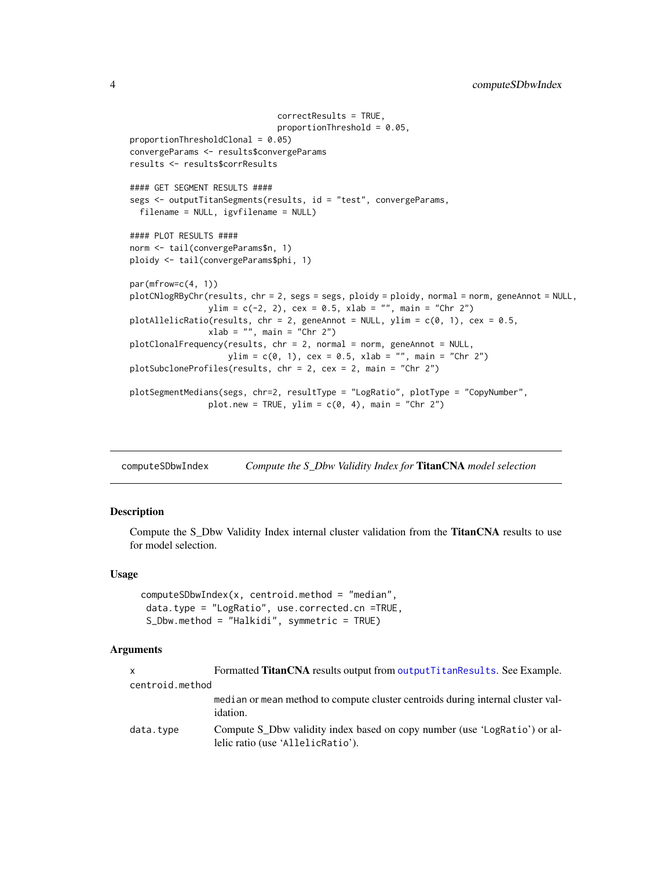```
correctResults = TRUE,
                              proportionThreshold = 0.05,
proportionThresholdClonal = 0.05)
convergeParams <- results$convergeParams
results <- results$corrResults
#### GET SEGMENT RESULTS ####
segs <- outputTitanSegments(results, id = "test", convergeParams,
 filename = NULL, igvfilename = NULL)
#### PLOT RESULTS ####
norm <- tail(convergeParams$n, 1)
ploidy <- tail(convergeParams$phi, 1)
par(mfrow=c(4, 1))
plotCNlogRByChr(results, chr = 2, segs = segs, ploidy = ploidy, normal = norm, geneAnnot = NULL,
                ylim = c(-2, 2), cex = 0.5, xlab = "", main = "Chr 2")plotAllelicRatio(results, chr = 2, geneAnnot = NULL, ylim = c(\emptyset, 1), cex = \emptyset.5,
                xlab = "", main = "Chr 2")plotClonalFrequency(results, chr = 2, normal = norm, geneAnnot = NULL,
                    ylim = c(0, 1), cex = 0.5, xlab = "", main = "Chr 2")plotSubcloneProfiles(results, chr = 2, cex = 2, main = "Chr 2")
plotSegmentMedians(segs, chr=2, resultType = "LogRatio", plotType = "CopyNumber",
                plot.new = TRUE, ylim = c(0, 4), main = "Chr 2")
```
<span id="page-3-1"></span>computeSDbwIndex *Compute the S\_Dbw Validity Index for* TitanCNA *model selection*

#### Description

Compute the S\_Dbw Validity Index internal cluster validation from the **TitanCNA** results to use for model selection.

#### Usage

```
computeSDbwIndex(x, centroid.method = "median",
data.type = "LogRatio", use.corrected.cn =TRUE,
S_Dbw.method = "Halkidi", symmetric = TRUE)
```
#### Arguments

|                 | Formatted <b>TitanCNA</b> results output from output Titan Results. See Example.                               |
|-----------------|----------------------------------------------------------------------------------------------------------------|
| centroid.method |                                                                                                                |
|                 | median or mean method to compute cluster centroids during internal cluster val-<br><i>idation.</i>             |
| data.type       | Compute S Dbw validity index based on copy number (use 'LogRatio') or al-<br>lelic ratio (use 'AllelicRatio'). |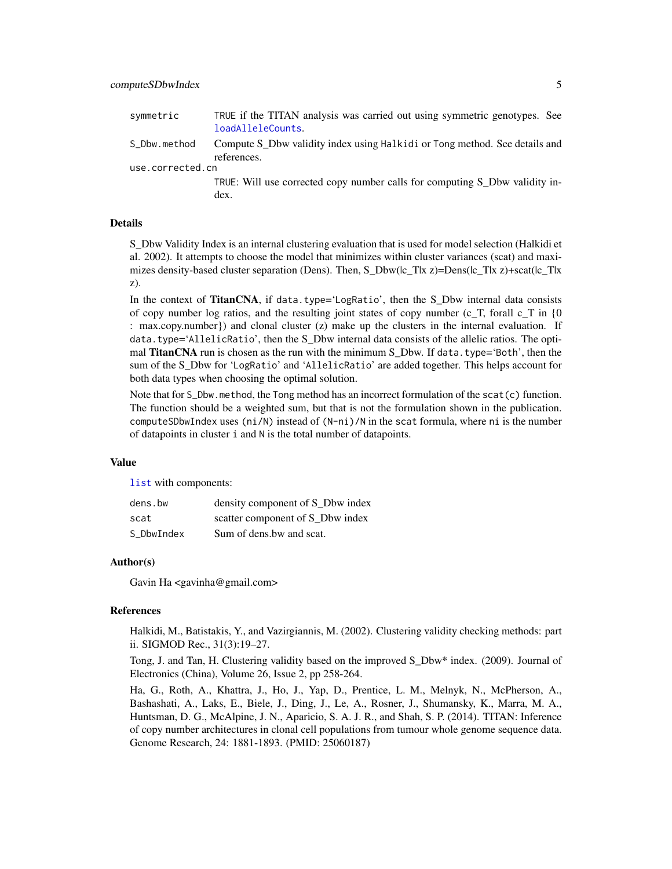<span id="page-4-0"></span>

| symmetric        | TRUE if the TITAN analysis was carried out using symmetric genotypes. See   |
|------------------|-----------------------------------------------------------------------------|
|                  | loadAlleleCounts.                                                           |
| S_Dbw.method     | Compute S Dbw validity index using Halkidi or Tong method. See details and  |
|                  | references.                                                                 |
| use.corrected.cn |                                                                             |
|                  | TRUE: Will use corrected copy number calls for computing S Dbw validity in- |
|                  | dex.                                                                        |

# Details

S\_Dbw Validity Index is an internal clustering evaluation that is used for model selection (Halkidi et al. 2002). It attempts to choose the model that minimizes within cluster variances (scat) and maximizes density-based cluster separation (Dens). Then, S\_Dbw( $|c_T|$ T|x z)=Dens( $|c_T|$ T|x z)+scat( $|c_T|$ T|x z).

In the context of TitanCNA, if data.type='LogRatio', then the S\_Dbw internal data consists of copy number log ratios, and the resulting joint states of copy number (c\_T, forall  $c_T$  in {0}) : max.copy.number}) and clonal cluster (z) make up the clusters in the internal evaluation. If data.type='AllelicRatio', then the S\_Dbw internal data consists of the allelic ratios. The optimal **TitanCNA** run is chosen as the run with the minimum S Dbw. If data.type= $^{\circ}$ Both', then the sum of the S\_Dbw for 'LogRatio' and 'AllelicRatio' are added together. This helps account for both data types when choosing the optimal solution.

Note that for S\_Dbw.method, the Tong method has an incorrect formulation of the scat(c) function. The function should be a weighted sum, but that is not the formulation shown in the publication. computeSDbwIndex uses ( $ni/N$ ) instead of  $(N-ni)/N$  in the scat formula, where ni is the number of datapoints in cluster i and N is the total number of datapoints.

#### Value

[list](#page-0-0) with components:

| dens.bw    | density component of S_Dbw index |
|------------|----------------------------------|
| scat       | scatter component of S_Dbw index |
| S DbwIndex | Sum of dens.bw and scat.         |

#### Author(s)

Gavin Ha <gavinha@gmail.com>

#### References

Halkidi, M., Batistakis, Y., and Vazirgiannis, M. (2002). Clustering validity checking methods: part ii. SIGMOD Rec., 31(3):19–27.

Tong, J. and Tan, H. Clustering validity based on the improved S\_Dbw\* index. (2009). Journal of Electronics (China), Volume 26, Issue 2, pp 258-264.

Ha, G., Roth, A., Khattra, J., Ho, J., Yap, D., Prentice, L. M., Melnyk, N., McPherson, A., Bashashati, A., Laks, E., Biele, J., Ding, J., Le, A., Rosner, J., Shumansky, K., Marra, M. A., Huntsman, D. G., McAlpine, J. N., Aparicio, S. A. J. R., and Shah, S. P. (2014). TITAN: Inference of copy number architectures in clonal cell populations from tumour whole genome sequence data. Genome Research, 24: 1881-1893. (PMID: 25060187)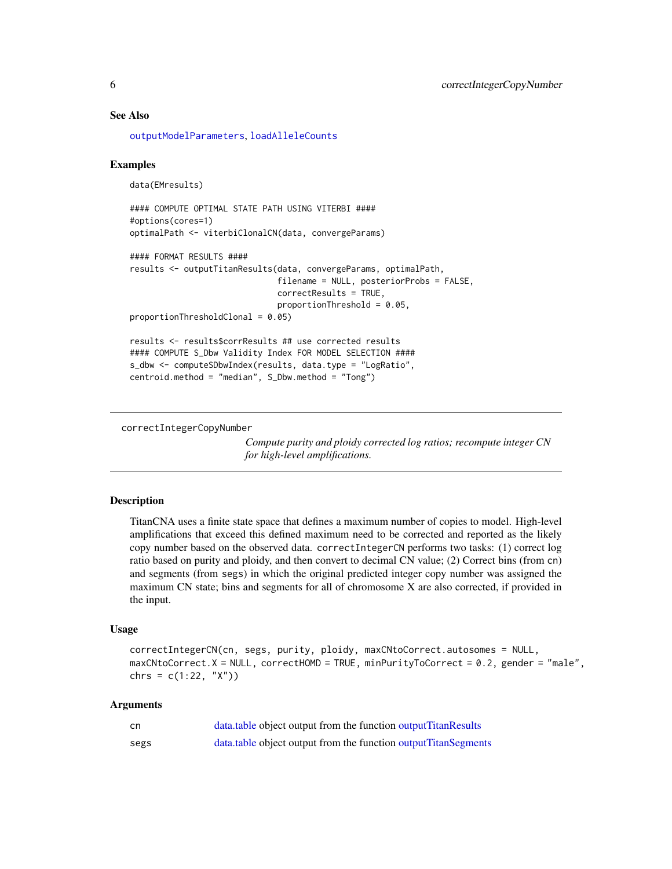#### See Also

[outputModelParameters](#page-19-1), [loadAlleleCounts](#page-15-1)

#### Examples

data(EMresults)

```
#### COMPUTE OPTIMAL STATE PATH USING VITERBI ####
#options(cores=1)
optimalPath <- viterbiClonalCN(data, convergeParams)
```

```
#### FORMAT RESULTS ####
results <- outputTitanResults(data, convergeParams, optimalPath,
                              filename = NULL, posteriorProbs = FALSE,
                              correctResults = TRUE,
                              proportionThreshold = 0.05,
proportionThresholdClonal = 0.05)
results <- results$corrResults ## use corrected results
```

```
#### COMPUTE S_Dbw Validity Index FOR MODEL SELECTION ####
s_dbw <- computeSDbwIndex(results, data.type = "LogRatio",
centroid.method = "median", S_Dbw.method = "Tong")
```
correctIntegerCopyNumber

*Compute purity and ploidy corrected log ratios; recompute integer CN for high-level amplifications.*

#### Description

TitanCNA uses a finite state space that defines a maximum number of copies to model. High-level amplifications that exceed this defined maximum need to be corrected and reported as the likely copy number based on the observed data. correctIntegerCN performs two tasks: (1) correct log ratio based on purity and ploidy, and then convert to decimal CN value; (2) Correct bins (from cn) and segments (from segs) in which the original predicted integer copy number was assigned the maximum CN state; bins and segments for all of chromosome X are also corrected, if provided in the input.

#### Usage

```
correctIntegerCN(cn, segs, purity, ploidy, maxCNtoCorrect.autosomes = NULL,
maxCNtoCorrect.X = NULL, correctHOMD = TRUE, minPurityToCorrect = 0.2, gender = "male",
chrs = c(1:22, "X")
```
# Arguments

| .cn  | data, table object output from the function output Titan Results  |
|------|-------------------------------------------------------------------|
| segs | data, table object output from the function output Titan Segments |

<span id="page-5-0"></span>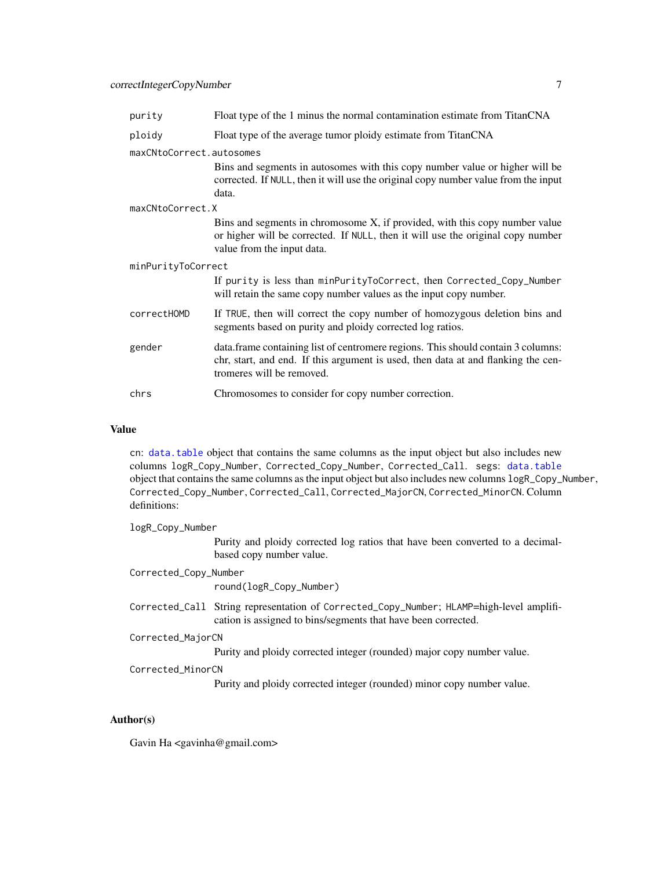# <span id="page-6-0"></span>correctIntegerCopyNumber 7

| purity                   | Float type of the 1 minus the normal contamination estimate from TitanCNA                                                                                                                           |  |
|--------------------------|-----------------------------------------------------------------------------------------------------------------------------------------------------------------------------------------------------|--|
| ploidy                   | Float type of the average tumor ploidy estimate from TitanCNA                                                                                                                                       |  |
| maxCNtoCorrect.autosomes |                                                                                                                                                                                                     |  |
|                          | Bins and segments in autosomes with this copy number value or higher will be<br>corrected. If NULL, then it will use the original copy number value from the input<br>data.                         |  |
| maxCNtoCorrect.X         |                                                                                                                                                                                                     |  |
|                          | Bins and segments in chromosome X, if provided, with this copy number value<br>or higher will be corrected. If NULL, then it will use the original copy number<br>value from the input data.        |  |
| minPurityToCorrect       |                                                                                                                                                                                                     |  |
|                          | If purity is less than minPurityToCorrect, then Corrected_Copy_Number<br>will retain the same copy number values as the input copy number.                                                          |  |
| correctHOMD              | If TRUE, then will correct the copy number of homozygous deletion bins and<br>segments based on purity and ploidy corrected log ratios.                                                             |  |
| gender                   | data. frame containing list of centromere regions. This should contain 3 columns:<br>chr, start, and end. If this argument is used, then data at and flanking the cen-<br>tromeres will be removed. |  |
| chrs                     | Chromosomes to consider for copy number correction.                                                                                                                                                 |  |

#### Value

cn: [data.table](#page-0-0) object that contains the same columns as the input object but also includes new columns logR\_Copy\_Number, Corrected\_Copy\_Number, Corrected\_Call. segs: [data.table](#page-0-0) object that contains the same columns as the input object but also includes new columns logR\_Copy\_Number, Corrected\_Copy\_Number, Corrected\_Call, Corrected\_MajorCN, Corrected\_MinorCN. Column definitions:

logR\_Copy\_Number

Purity and ploidy corrected log ratios that have been converted to a decimalbased copy number value.

Corrected\_Copy\_Number round(logR\_Copy\_Number) Corrected\_Call String representation of Corrected\_Copy\_Number; HLAMP=high-level amplification is assigned to bins/segments that have been corrected. Corrected\_MajorCN Purity and ploidy corrected integer (rounded) major copy number value. Corrected\_MinorCN Purity and ploidy corrected integer (rounded) minor copy number value.

# Author(s)

Gavin Ha <gavinha@gmail.com>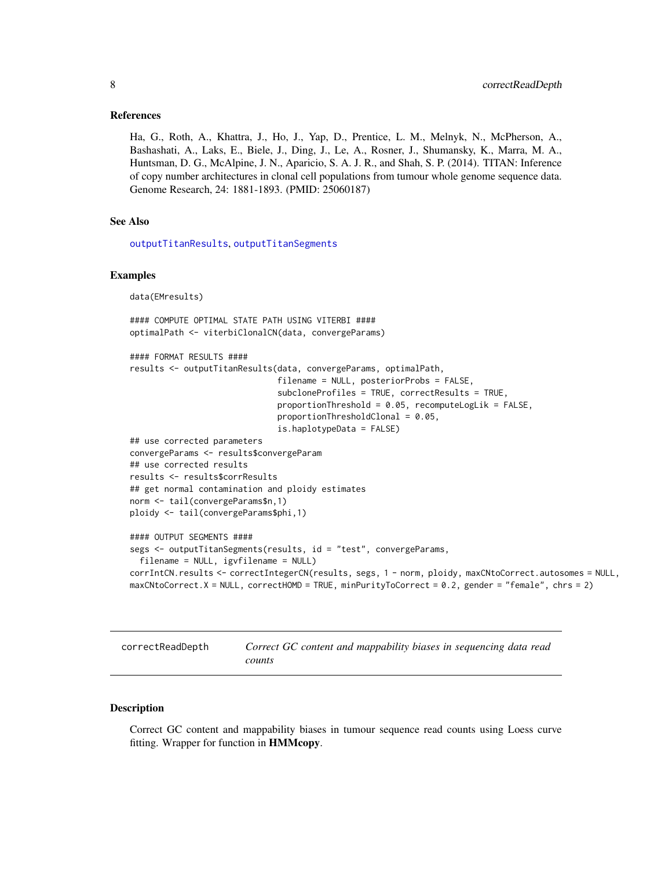#### <span id="page-7-0"></span>References

Ha, G., Roth, A., Khattra, J., Ho, J., Yap, D., Prentice, L. M., Melnyk, N., McPherson, A., Bashashati, A., Laks, E., Biele, J., Ding, J., Le, A., Rosner, J., Shumansky, K., Marra, M. A., Huntsman, D. G., McAlpine, J. N., Aparicio, S. A. J. R., and Shah, S. P. (2014). TITAN: Inference of copy number architectures in clonal cell populations from tumour whole genome sequence data. Genome Research, 24: 1881-1893. (PMID: 25060187)

#### See Also

[outputTitanResults](#page-19-1), [outputTitanSegments](#page-19-1)

#### Examples

data(EMresults)

```
#### COMPUTE OPTIMAL STATE PATH USING VITERBI ####
optimalPath <- viterbiClonalCN(data, convergeParams)
```

```
#### FORMAT RESULTS ####
results <- outputTitanResults(data, convergeParams, optimalPath,
                              filename = NULL, posteriorProbs = FALSE,
                              subcloneProfiles = TRUE, correctResults = TRUE,
                              proportionThreshold = 0.05, recomputeLogLik = FALSE,
                              proportionThresholdClonal = 0.05,
                              is.haplotypeData = FALSE)
## use corrected parameters
convergeParams <- results$convergeParam
## use corrected results
results <- results$corrResults
## get normal contamination and ploidy estimates
norm <- tail(convergeParams$n,1)
ploidy <- tail(convergeParams$phi,1)
#### OUTPUT SEGMENTS ####
segs <- outputTitanSegments(results, id = "test", convergeParams,
 filename = NULL, igvfilename = NULL)
corrIntCN.results <- correctIntegerCN(results, segs, 1 - norm, ploidy, maxCNtoCorrect.autosomes = NULL,
maxCNtoCorrect.X = NULL, correctHOMD = TRUE, minPurityToCorrect = 0.2, gender = "female", chrs = 2)
```
<span id="page-7-1"></span>correctReadDepth *Correct GC content and mappability biases in sequencing data read counts*

#### Description

Correct GC content and mappability biases in tumour sequence read counts using Loess curve fitting. Wrapper for function in **HMMcopy**.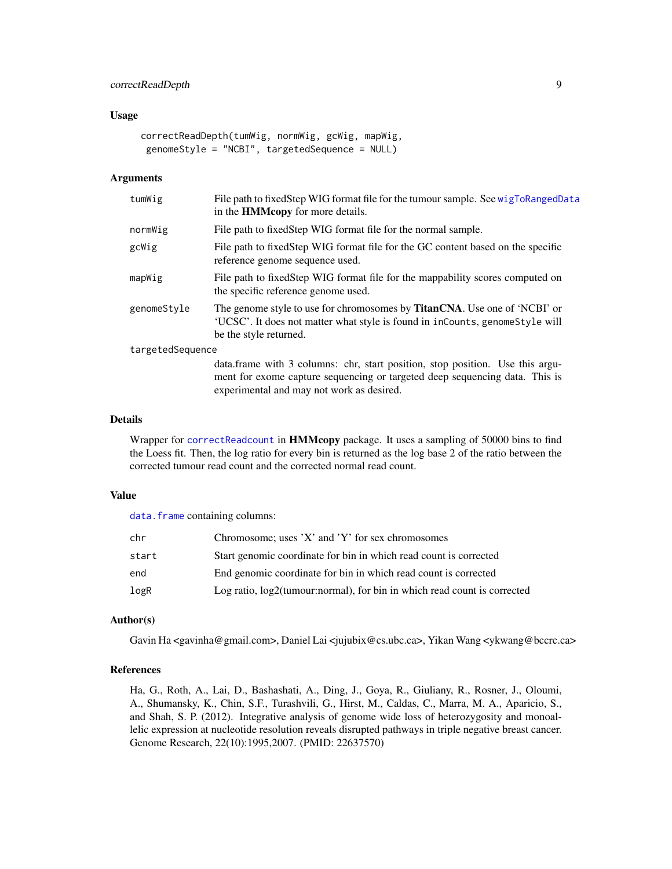# <span id="page-8-0"></span>correctReadDepth 9

#### Usage

```
correctReadDepth(tumWig, normWig, gcWig, mapWig,
genomeStyle = "NCBI", targetedSequence = NULL)
```
#### Arguments

| tumWig           | File path to fixed Step WIG format file for the tumour sample. See wigToRangedData<br>in the <b>HMMcopy</b> for more details.                                                       |
|------------------|-------------------------------------------------------------------------------------------------------------------------------------------------------------------------------------|
| normWig          | File path to fixed Step WIG format file for the normal sample.                                                                                                                      |
| gcWig            | File path to fixed Step WIG format file for the GC content based on the specific<br>reference genome sequence used.                                                                 |
| mapWig           | File path to fixedStep WIG format file for the mappability scores computed on<br>the specific reference genome used.                                                                |
| genomeStyle      | The genome style to use for chromosomes by TitanCNA. Use one of 'NCBI' or<br>'UCSC'. It does not matter what style is found in inCounts, genomeStyle will<br>be the style returned. |
| targetedSequence |                                                                                                                                                                                     |
|                  | data.frame with 3 columns: chr, start position, stop position. Use this argu-                                                                                                       |

ment for exome capture sequencing or targeted deep sequencing data. This is

#### Details

Wrapper for [correctReadcount](#page-0-0) in **HMMcopy** package. It uses a sampling of 50000 bins to find the Loess fit. Then, the log ratio for every bin is returned as the log base 2 of the ratio between the corrected tumour read count and the corrected normal read count.

experimental and may not work as desired.

#### Value

data. frame containing columns:

| chr   | Chromosome; uses $'X'$ and $'Y'$ for sex chromosomes                        |
|-------|-----------------------------------------------------------------------------|
| start | Start genomic coordinate for bin in which read count is corrected           |
| end   | End genomic coordinate for bin in which read count is corrected             |
| logR  | Log ratio, $log2$ (tumour:normal), for bin in which read count is corrected |

#### Author(s)

Gavin Ha <gavinha@gmail.com>, Daniel Lai < jujubix@cs.ubc.ca>, Yikan Wang < y kwang@bccrc.ca>

### References

Ha, G., Roth, A., Lai, D., Bashashati, A., Ding, J., Goya, R., Giuliany, R., Rosner, J., Oloumi, A., Shumansky, K., Chin, S.F., Turashvili, G., Hirst, M., Caldas, C., Marra, M. A., Aparicio, S., and Shah, S. P. (2012). Integrative analysis of genome wide loss of heterozygosity and monoallelic expression at nucleotide resolution reveals disrupted pathways in triple negative breast cancer. Genome Research, 22(10):1995,2007. (PMID: 22637570)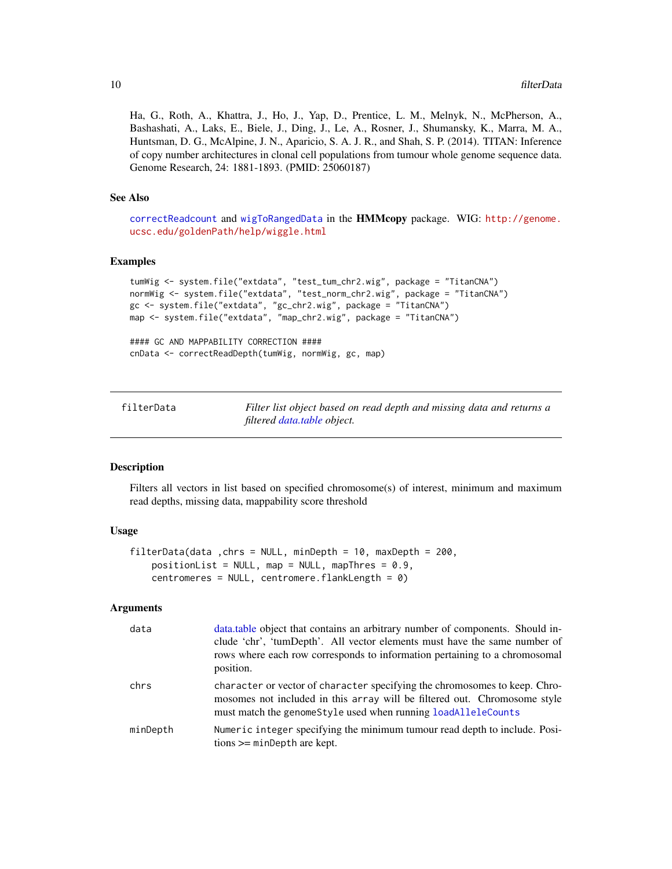<span id="page-9-0"></span>Ha, G., Roth, A., Khattra, J., Ho, J., Yap, D., Prentice, L. M., Melnyk, N., McPherson, A., Bashashati, A., Laks, E., Biele, J., Ding, J., Le, A., Rosner, J., Shumansky, K., Marra, M. A., Huntsman, D. G., McAlpine, J. N., Aparicio, S. A. J. R., and Shah, S. P. (2014). TITAN: Inference of copy number architectures in clonal cell populations from tumour whole genome sequence data. Genome Research, 24: 1881-1893. (PMID: 25060187)

#### See Also

[correctReadcount](#page-0-0) and [wigToRangedData](#page-32-1) in the HMMcopy package. WIG: [http://genome.](http://genome.ucsc.edu/goldenPath/help/wiggle.html) [ucsc.edu/goldenPath/help/wiggle.html](http://genome.ucsc.edu/goldenPath/help/wiggle.html)

#### Examples

```
tumWig <- system.file("extdata", "test_tum_chr2.wig", package = "TitanCNA")
normWig <- system.file("extdata", "test_norm_chr2.wig", package = "TitanCNA")
gc <- system.file("extdata", "gc_chr2.wig", package = "TitanCNA")
map <- system.file("extdata", "map_chr2.wig", package = "TitanCNA")
```
#### GC AND MAPPABILITY CORRECTION #### cnData <- correctReadDepth(tumWig, normWig, gc, map)

filterData *Filter list object based on read depth and missing data and returns a filtered [data.table](#page-0-0) object.*

#### Description

Filters all vectors in list based on specified chromosome(s) of interest, minimum and maximum read depths, missing data, mappability score threshold

#### Usage

```
filterData(data ,chrs = NULL, minDepth = 10, maxDepth = 200,
   positionList = NULL, map = NULL, mapThres = 0.9,
   centromeres = NULL, centromere.flankLength = 0)
```
#### Arguments

| data     | data, table object that contains an arbitrary number of components. Should in-<br>clude 'chr', 'tumDepth'. All vector elements must have the same number of<br>rows where each row corresponds to information pertaining to a chromosomal<br>position. |
|----------|--------------------------------------------------------------------------------------------------------------------------------------------------------------------------------------------------------------------------------------------------------|
| chrs     | character or vector of character specifying the chromosomes to keep. Chro-<br>mosomes not included in this array will be filtered out. Chromosome style<br>must match the genome Style used when running load Allele Counts                            |
| minDepth | Numeric integer specifying the minimum tumour read depth to include. Posi-<br>$tions >= minDepth$ are kept.                                                                                                                                            |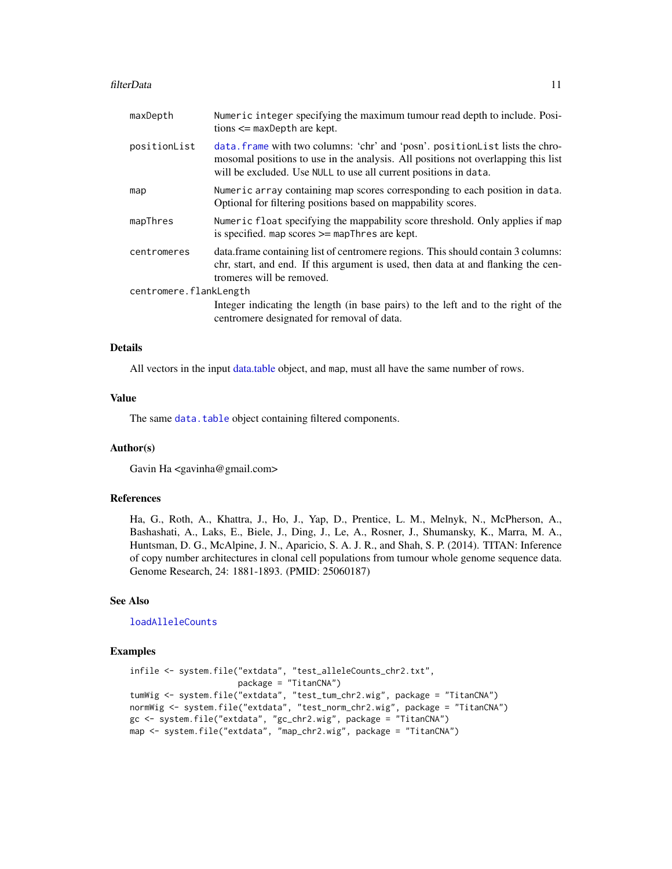#### <span id="page-10-0"></span>filterData 11

| maxDepth               | Numeric integer specifying the maximum tumour read depth to include. Posi-<br>$tions \leq maxDepth$ are kept.                                                                                                                         |
|------------------------|---------------------------------------------------------------------------------------------------------------------------------------------------------------------------------------------------------------------------------------|
| positionList           | data. frame with two columns: 'chr' and 'posn'. positionList lists the chro-<br>mosomal positions to use in the analysis. All positions not overlapping this list<br>will be excluded. Use NULL to use all current positions in data. |
| map                    | Numeric array containing map scores corresponding to each position in data.<br>Optional for filtering positions based on mappability scores.                                                                                          |
| mapThres               | Numeric float specifying the mappability score threshold. Only applies if map<br>is specified. map scores $\geq$ map Thres are kept.                                                                                                  |
| centromeres            | data. frame containing list of centromere regions. This should contain 3 columns:<br>chr, start, and end. If this argument is used, then data at and flanking the cen-<br>tromeres will be removed.                                   |
| centromere.flankLength |                                                                                                                                                                                                                                       |
|                        | Integer indicating the length (in base pairs) to the left and to the right of the<br>centromere designated for removal of data.                                                                                                       |

#### Details

All vectors in the input [data.table](#page-0-0) object, and map, must all have the same number of rows.

### Value

The same [data.table](#page-0-0) object containing filtered components.

#### Author(s)

Gavin Ha <gavinha@gmail.com>

#### References

Ha, G., Roth, A., Khattra, J., Ho, J., Yap, D., Prentice, L. M., Melnyk, N., McPherson, A., Bashashati, A., Laks, E., Biele, J., Ding, J., Le, A., Rosner, J., Shumansky, K., Marra, M. A., Huntsman, D. G., McAlpine, J. N., Aparicio, S. A. J. R., and Shah, S. P. (2014). TITAN: Inference of copy number architectures in clonal cell populations from tumour whole genome sequence data. Genome Research, 24: 1881-1893. (PMID: 25060187)

#### See Also

[loadAlleleCounts](#page-15-1)

#### Examples

```
infile <- system.file("extdata", "test_alleleCounts_chr2.txt",
                      package = "TitanCNA")
tumWig <- system.file("extdata", "test_tum_chr2.wig", package = "TitanCNA")
normWig <- system.file("extdata", "test_norm_chr2.wig", package = "TitanCNA")
gc <- system.file("extdata", "gc_chr2.wig", package = "TitanCNA")
map <- system.file("extdata", "map_chr2.wig", package = "TitanCNA")
```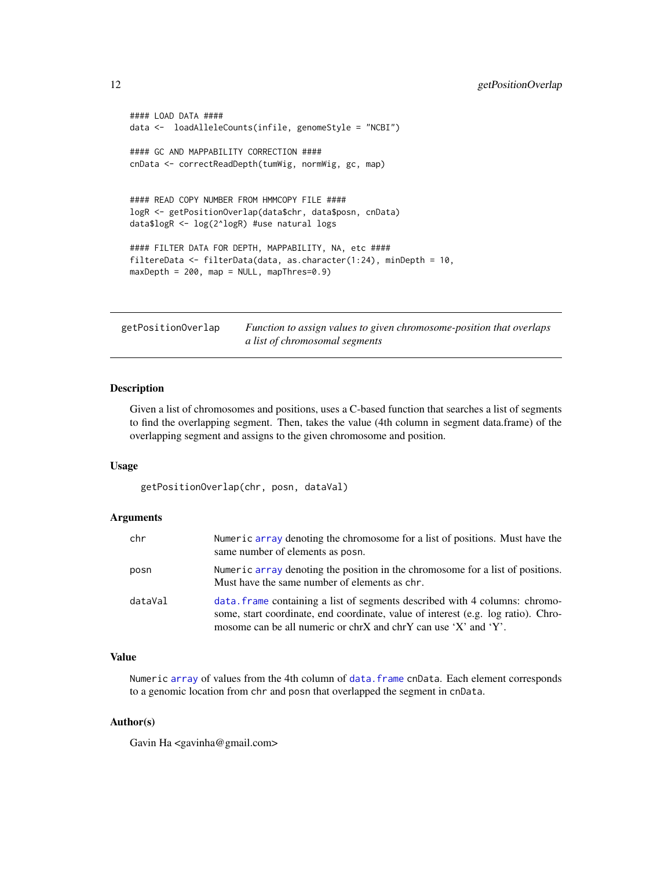```
#### LOAD DATA ####
data <- loadAlleleCounts(infile, genomeStyle = "NCBI")
#### GC AND MAPPABILITY CORRECTION ####
cnData <- correctReadDepth(tumWig, normWig, gc, map)
#### READ COPY NUMBER FROM HMMCOPY FILE ####
logR <- getPositionOverlap(data$chr, data$posn, cnData)
data$logR <- log(2^logR) #use natural logs
#### FILTER DATA FOR DEPTH, MAPPABILITY, NA, etc ####
filtereData <- filterData(data, as.character(1:24), minDepth = 10,
maxDepth = 200, map = NULL, mapThres=0.9)
```
<span id="page-11-1"></span>getPositionOverlap *Function to assign values to given chromosome-position that overlaps a list of chromosomal segments*

#### **Description**

Given a list of chromosomes and positions, uses a C-based function that searches a list of segments to find the overlapping segment. Then, takes the value (4th column in segment data.frame) of the overlapping segment and assigns to the given chromosome and position.

#### Usage

getPositionOverlap(chr, posn, dataVal)

#### Arguments

| chr     | Numeric array denoting the chromosome for a list of positions. Must have the<br>same number of elements as posn.                                                                                                                   |
|---------|------------------------------------------------------------------------------------------------------------------------------------------------------------------------------------------------------------------------------------|
| posn    | Numeric array denoting the position in the chromosome for a list of positions.<br>Must have the same number of elements as chr.                                                                                                    |
| dataVal | data frame containing a list of segments described with 4 columns: chromo-<br>some, start coordinate, end coordinate, value of interest (e.g. log ratio). Chro-<br>mosome can be all numeric or chrX and chrY can use 'X' and 'Y'. |

## Value

Numeric [array](#page-0-0) of values from the 4th column of [data.frame](#page-0-0) cnData. Each element corresponds to a genomic location from chr and posn that overlapped the segment in cnData.

### Author(s)

Gavin Ha <gavinha@gmail.com>

<span id="page-11-0"></span>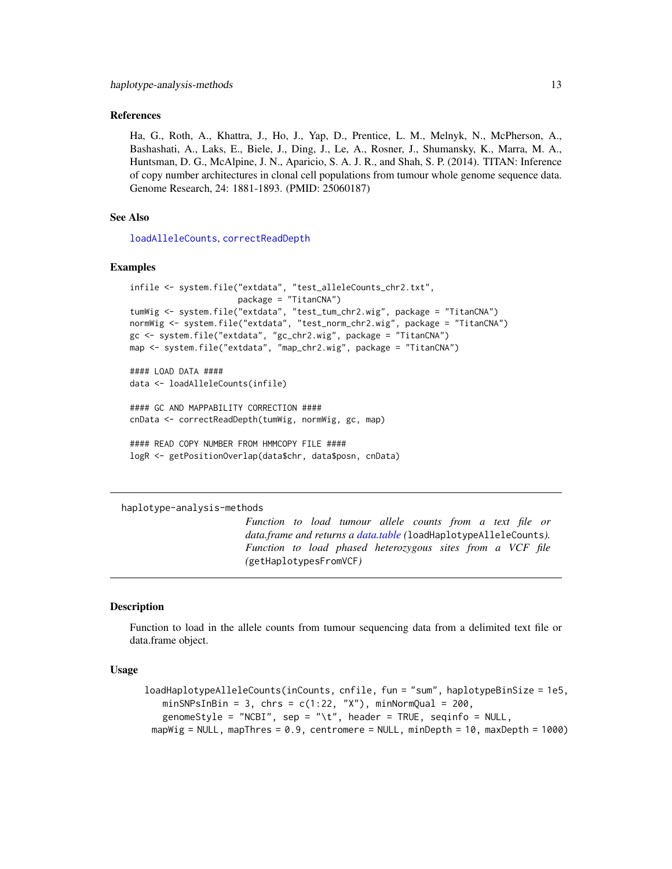#### <span id="page-12-0"></span>References

Ha, G., Roth, A., Khattra, J., Ho, J., Yap, D., Prentice, L. M., Melnyk, N., McPherson, A., Bashashati, A., Laks, E., Biele, J., Ding, J., Le, A., Rosner, J., Shumansky, K., Marra, M. A., Huntsman, D. G., McAlpine, J. N., Aparicio, S. A. J. R., and Shah, S. P. (2014). TITAN: Inference of copy number architectures in clonal cell populations from tumour whole genome sequence data. Genome Research, 24: 1881-1893. (PMID: 25060187)

# See Also

[loadAlleleCounts](#page-15-1), [correctReadDepth](#page-7-1)

#### Examples

```
infile <- system.file("extdata", "test_alleleCounts_chr2.txt",
                      package = "TitanCNA")
tumWig <- system.file("extdata", "test_tum_chr2.wig", package = "TitanCNA")
normWig <- system.file("extdata", "test_norm_chr2.wig", package = "TitanCNA")
gc <- system.file("extdata", "gc_chr2.wig", package = "TitanCNA")
map <- system.file("extdata", "map_chr2.wig", package = "TitanCNA")
#### LOAD DATA ####
data <- loadAlleleCounts(infile)
#### GC AND MAPPABILITY CORRECTION ####
cnData <- correctReadDepth(tumWig, normWig, gc, map)
#### READ COPY NUMBER FROM HMMCOPY FILE ####
logR <- getPositionOverlap(data$chr, data$posn, cnData)
```
haplotype-analysis-methods

*Function to load tumour allele counts from a text file or data.frame and returns a [data.table](#page-0-0) (*loadHaplotypeAlleleCounts*). Function to load phased heterozygous sites from a VCF file (*getHaplotypesFromVCF*)*

#### <span id="page-12-1"></span>Description

Function to load in the allele counts from tumour sequencing data from a delimited text file or data.frame object.

## Usage

```
loadHaplotypeAlleleCounts(inCounts, cnfile, fun = "sum", haplotypeBinSize = 1e5,
   minSNPsInBin = 3, chrs = c(1:22, "X"), minNormQual = 200,
   genomeStyle = "NCBI", sep = "\t", header = TRUE, seqinfo = NULL,
 mapWig = NULL, mapThres = 0.9, centromere = NULL, minDepth = 10, maxDepth = 1000)
```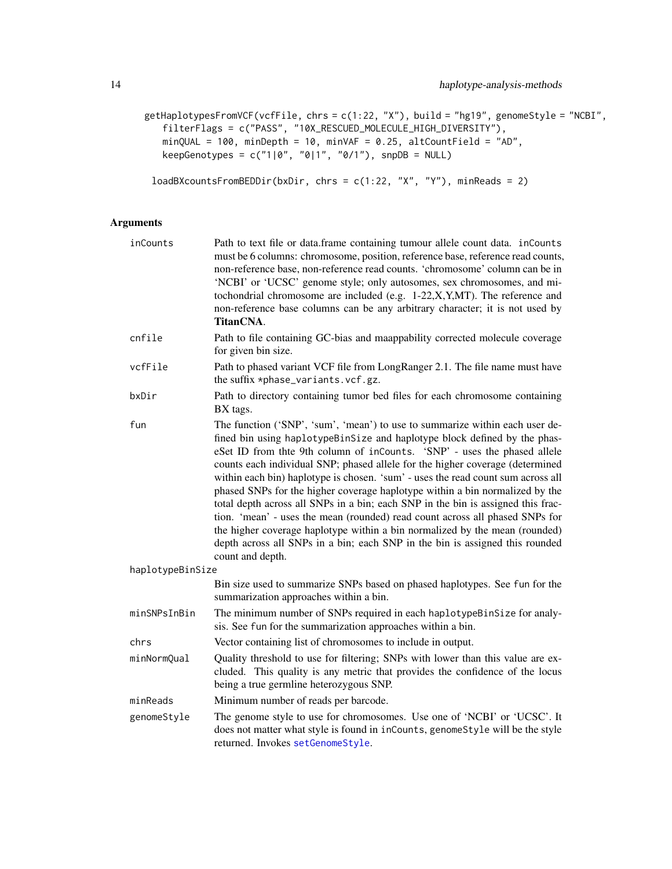```
getHaplotypesFromVCF(vcfFile, chrs = c(1:22, "X"), build = "hg19", genomeStyle = "NCBI",
   filterFlags = c("PASS", "10X_RESCUED_MOLECULE_HIGH_DIVERSITY"),
   minQUAL = 100, minDepth = 10, minVAF = 0.25, altCountField = "AD",keepGenotypes = c("1|0", "0|1", "0/1"), snpDB = NULL)
```
loadBXcountsFromBEDDir(bxDir, chrs = c(1:22, "X", "Y"), minReads = 2)

# Arguments

| inCounts         | Path to text file or data.frame containing tumour allele count data. inCounts<br>must be 6 columns: chromosome, position, reference base, reference read counts,<br>non-reference base, non-reference read counts. 'chromosome' column can be in<br>'NCBI' or 'UCSC' genome style; only autosomes, sex chromosomes, and mi-<br>tochondrial chromosome are included (e.g. 1-22,X,Y,MT). The reference and<br>non-reference base columns can be any arbitrary character; it is not used by<br>TitanCNA.                                                                                                                                                                                                                                                                                                                                             |
|------------------|---------------------------------------------------------------------------------------------------------------------------------------------------------------------------------------------------------------------------------------------------------------------------------------------------------------------------------------------------------------------------------------------------------------------------------------------------------------------------------------------------------------------------------------------------------------------------------------------------------------------------------------------------------------------------------------------------------------------------------------------------------------------------------------------------------------------------------------------------|
| cnfile           | Path to file containing GC-bias and maappability corrected molecule coverage<br>for given bin size.                                                                                                                                                                                                                                                                                                                                                                                                                                                                                                                                                                                                                                                                                                                                               |
| vcfFile          | Path to phased variant VCF file from LongRanger 2.1. The file name must have<br>the suffix *phase_variants.vcf.gz.                                                                                                                                                                                                                                                                                                                                                                                                                                                                                                                                                                                                                                                                                                                                |
| bxDir            | Path to directory containing tumor bed files for each chromosome containing<br>BX tags.                                                                                                                                                                                                                                                                                                                                                                                                                                                                                                                                                                                                                                                                                                                                                           |
| fun              | The function ('SNP', 'sum', 'mean') to use to summarize within each user de-<br>fined bin using haplotypeBinSize and haplotype block defined by the phas-<br>eSet ID from thte 9th column of inCounts. 'SNP' - uses the phased allele<br>counts each individual SNP; phased allele for the higher coverage (determined<br>within each bin) haplotype is chosen. 'sum' - uses the read count sum across all<br>phased SNPs for the higher coverage haplotype within a bin normalized by the<br>total depth across all SNPs in a bin; each SNP in the bin is assigned this frac-<br>tion. 'mean' - uses the mean (rounded) read count across all phased SNPs for<br>the higher coverage haplotype within a bin normalized by the mean (rounded)<br>depth across all SNPs in a bin; each SNP in the bin is assigned this rounded<br>count and depth. |
| haplotypeBinSize |                                                                                                                                                                                                                                                                                                                                                                                                                                                                                                                                                                                                                                                                                                                                                                                                                                                   |
|                  | Bin size used to summarize SNPs based on phased haplotypes. See fun for the<br>summarization approaches within a bin.                                                                                                                                                                                                                                                                                                                                                                                                                                                                                                                                                                                                                                                                                                                             |
| minSNPsInBin     | The minimum number of SNPs required in each haplotypeBinSize for analy-<br>sis. See fun for the summarization approaches within a bin.                                                                                                                                                                                                                                                                                                                                                                                                                                                                                                                                                                                                                                                                                                            |
| chrs             | Vector containing list of chromosomes to include in output.                                                                                                                                                                                                                                                                                                                                                                                                                                                                                                                                                                                                                                                                                                                                                                                       |
| minNormQual      | Quality threshold to use for filtering; SNPs with lower than this value are ex-<br>cluded. This quality is any metric that provides the confidence of the locus<br>being a true germline heterozygous SNP.                                                                                                                                                                                                                                                                                                                                                                                                                                                                                                                                                                                                                                        |
| minReads         | Minimum number of reads per barcode.                                                                                                                                                                                                                                                                                                                                                                                                                                                                                                                                                                                                                                                                                                                                                                                                              |
| genomeStyle      | The genome style to use for chromosomes. Use one of 'NCBI' or 'UCSC'. It<br>does not matter what style is found in inCounts, genomeStyle will be the style<br>returned. Invokes setGenomeStyle.                                                                                                                                                                                                                                                                                                                                                                                                                                                                                                                                                                                                                                                   |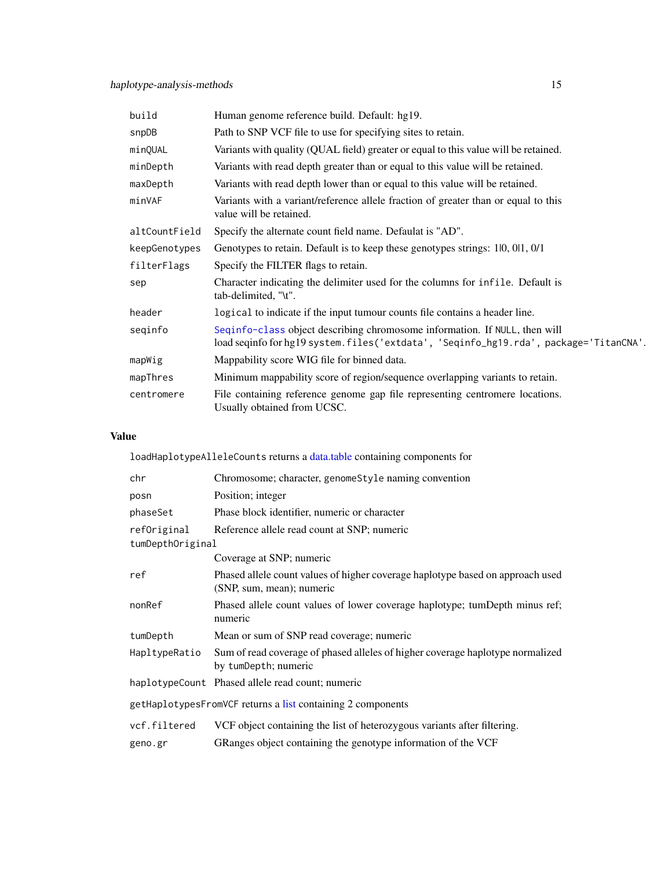<span id="page-14-0"></span>

| build         | Human genome reference build. Default: hg19.                                                                                                                        |
|---------------|---------------------------------------------------------------------------------------------------------------------------------------------------------------------|
| snpDB         | Path to SNP VCF file to use for specifying sites to retain.                                                                                                         |
| minQUAL       | Variants with quality (QUAL field) greater or equal to this value will be retained.                                                                                 |
| minDepth      | Variants with read depth greater than or equal to this value will be retained.                                                                                      |
| maxDepth      | Variants with read depth lower than or equal to this value will be retained.                                                                                        |
| minVAF        | Variants with a variant/reference allele fraction of greater than or equal to this<br>value will be retained.                                                       |
| altCountField | Specify the alternate count field name. Defaulat is "AD".                                                                                                           |
| keepGenotypes | Genotypes to retain. Default is to keep these genotypes strings: 10, 01, 0/1                                                                                        |
| filterFlags   | Specify the FILTER flags to retain.                                                                                                                                 |
| sep           | Character indicating the delimiter used for the columns for infile. Default is<br>tab-delimited, "\t".                                                              |
| header        | logical to indicate if the input tumour counts file contains a header line.                                                                                         |
| seginfo       | Seqinfo-class object describing chromosome information. If NULL, then will<br>load seqinfo for hg19 system.files('extdata', 'Seqinfo_hg19.rda', package='TitanCNA'. |
| mapWig        | Mappability score WIG file for binned data.                                                                                                                         |
| mapThres      | Minimum mappability score of region/sequence overlapping variants to retain.                                                                                        |
| centromere    | File containing reference genome gap file representing centromere locations.<br>Usually obtained from UCSC.                                                         |

# Value

loadHaplotypeAlleleCounts returns a [data.table](#page-0-0) containing components for

| chr                                                         | Chromosome; character, genomeStyle naming convention                                                        |  |
|-------------------------------------------------------------|-------------------------------------------------------------------------------------------------------------|--|
| posn                                                        | Position; integer                                                                                           |  |
| phaseSet                                                    | Phase block identifier, numeric or character                                                                |  |
| refOriginal                                                 | Reference allele read count at SNP; numeric                                                                 |  |
| tumDepthOriginal                                            |                                                                                                             |  |
|                                                             | Coverage at SNP; numeric                                                                                    |  |
| ref                                                         | Phased allele count values of higher coverage haplotype based on approach used<br>(SNP, sum, mean); numeric |  |
| nonRef                                                      | Phased allele count values of lower coverage haplotype; tumDepth minus ref;<br>numeric                      |  |
| tumDepth                                                    | Mean or sum of SNP read coverage; numeric                                                                   |  |
| HapltypeRatio                                               | Sum of read coverage of phased alleles of higher coverage haplotype normalized<br>by tumDepth; numeric      |  |
|                                                             | haplotypeCount Phased allele read count; numeric                                                            |  |
| getHaplotypesFromVCF returns a list containing 2 components |                                                                                                             |  |
| vcf.filtered                                                | VCF object containing the list of heterozygous variants after filtering.                                    |  |
| geno.gr                                                     | GRanges object containing the genotype information of the VCF                                               |  |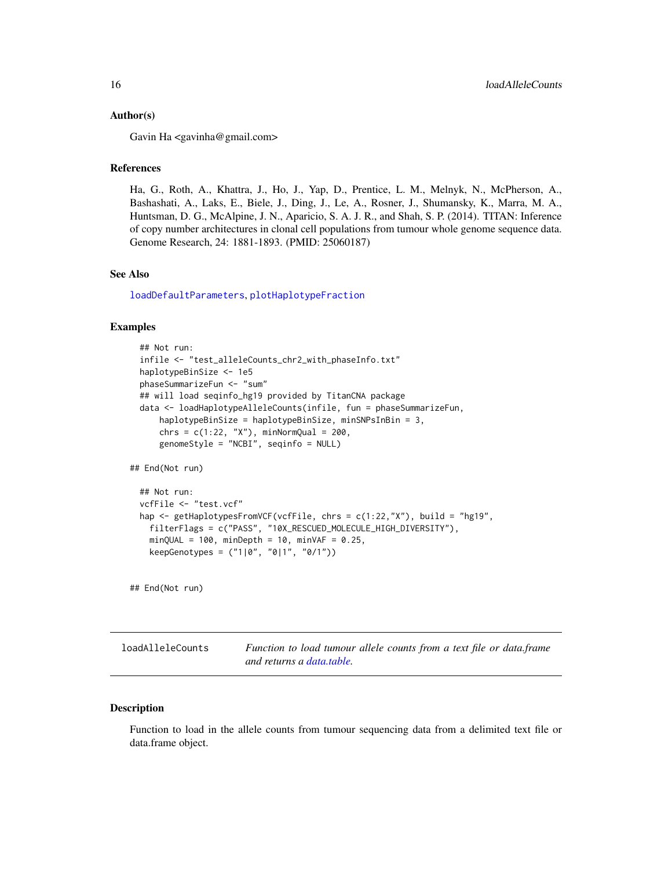#### <span id="page-15-0"></span>Author(s)

Gavin Ha <gavinha@gmail.com>

# References

Ha, G., Roth, A., Khattra, J., Ho, J., Yap, D., Prentice, L. M., Melnyk, N., McPherson, A., Bashashati, A., Laks, E., Biele, J., Ding, J., Le, A., Rosner, J., Shumansky, K., Marra, M. A., Huntsman, D. G., McAlpine, J. N., Aparicio, S. A. J. R., and Shah, S. P. (2014). TITAN: Inference of copy number architectures in clonal cell populations from tumour whole genome sequence data. Genome Research, 24: 1881-1893. (PMID: 25060187)

#### See Also

[loadDefaultParameters](#page-17-1), [plotHaplotypeFraction](#page-23-1)

#### Examples

```
## Not run:
 infile <- "test_alleleCounts_chr2_with_phaseInfo.txt"
 haplotypeBinSize <- 1e5
 phaseSummarizeFun <- "sum"
 ## will load seqinfo_hg19 provided by TitanCNA package
 data <- loadHaplotypeAlleleCounts(infile, fun = phaseSummarizeFun,
     haplotypeBinSize = haplotypeBinSize, minSNPsInBin = 3,
     chrs = c(1:22, "X"), minNormQual = 200,
     genomeStyle = "NCBI", seqinfo = NULL)
## End(Not run)
 ## Not run:
 vcfFile <- "test.vcf"
 hap <- getHaplotypesFromVCF(vcfFile, chrs = c(1:22,"X"), build = "hg19",
   filterFlags = c("PASS", "10X_RESCUED_MOLECULE_HIGH_DIVERSITY"),
   minQUAL = 100, minDepth = 10, minVAF = 0.25,
   keepGenotypes = ("1|0", "0|1", "0/1"))
```
## End(Not run)

<span id="page-15-1"></span>loadAlleleCounts *Function to load tumour allele counts from a text file or data.frame and returns a [data.table.](#page-0-0)*

#### <span id="page-15-2"></span>**Description**

Function to load in the allele counts from tumour sequencing data from a delimited text file or data.frame object.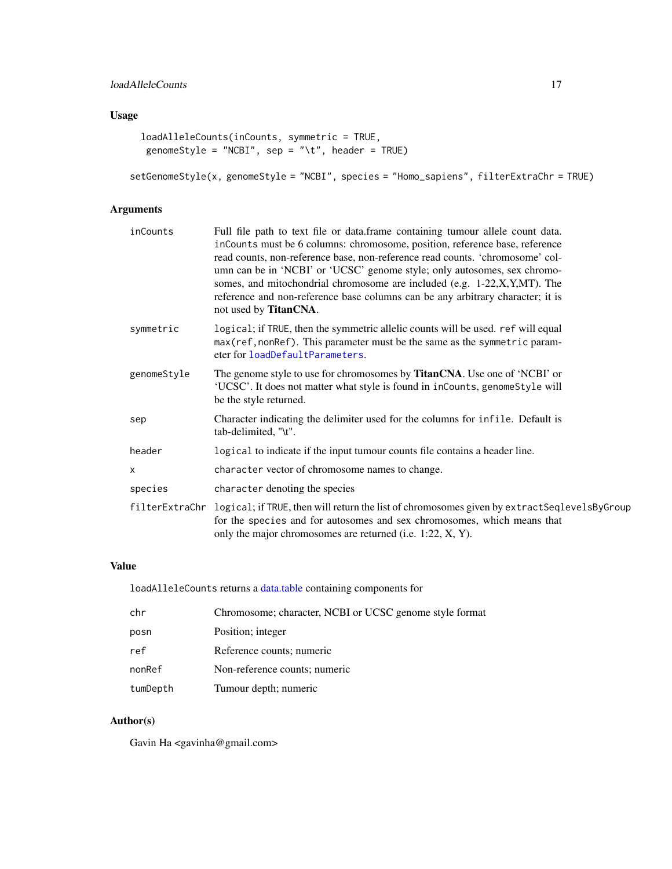# <span id="page-16-0"></span>Usage

```
loadAlleleCounts(inCounts, symmetric = TRUE,
genomeStyle = "NCBI", sep = "\t", header = TRUE)
```

```
setGenomeStyle(x, genomeStyle = "NCBI", species = "Homo_sapiens", filterExtraChr = TRUE)
```
# Arguments

| inCounts    | Full file path to text file or data.frame containing tumour allele count data.<br>inCounts must be 6 columns: chromosome, position, reference base, reference<br>read counts, non-reference base, non-reference read counts. 'chromosome' col-<br>umn can be in 'NCBI' or 'UCSC' genome style; only autosomes, sex chromo-<br>somes, and mitochondrial chromosome are included (e.g. 1-22, X, Y, MT). The<br>reference and non-reference base columns can be any arbitrary character; it is<br>not used by <b>TitanCNA</b> . |
|-------------|------------------------------------------------------------------------------------------------------------------------------------------------------------------------------------------------------------------------------------------------------------------------------------------------------------------------------------------------------------------------------------------------------------------------------------------------------------------------------------------------------------------------------|
| symmetric   | logical; if TRUE, then the symmetric allelic counts will be used. ref will equal<br>max (ref, nonRef). This parameter must be the same as the symmetric param-<br>eter for loadDefaultParameters.                                                                                                                                                                                                                                                                                                                            |
| genomeStyle | The genome style to use for chromosomes by <b>TitanCNA</b> . Use one of 'NCBI' or<br>'UCSC'. It does not matter what style is found in inCounts, genomeStyle will<br>be the style returned.                                                                                                                                                                                                                                                                                                                                  |
| sep         | Character indicating the delimiter used for the columns for infile. Default is<br>tab-delimited, "\t".                                                                                                                                                                                                                                                                                                                                                                                                                       |
| header      | logical to indicate if the input tumour counts file contains a header line.                                                                                                                                                                                                                                                                                                                                                                                                                                                  |
| X           | character vector of chromosome names to change.                                                                                                                                                                                                                                                                                                                                                                                                                                                                              |
| species     | character denoting the species                                                                                                                                                                                                                                                                                                                                                                                                                                                                                               |
|             | filterExtraChr logical; if TRUE, then will return the list of chromosomes given by extractSeqlevelsByGroup<br>for the species and for autosomes and sex chromosomes, which means that<br>only the major chromosomes are returned (i.e. 1:22, X, Y).                                                                                                                                                                                                                                                                          |
|             |                                                                                                                                                                                                                                                                                                                                                                                                                                                                                                                              |

# Value

loadAlleleCounts returns a [data.table](#page-0-0) containing components for

| chr      | Chromosome; character, NCBI or UCSC genome style format |
|----------|---------------------------------------------------------|
| posn     | Position; integer                                       |
| ref      | Reference counts; numeric                               |
| nonRef   | Non-reference counts; numeric                           |
| tumDepth | Tumour depth; numeric                                   |

# Author(s)

Gavin Ha <gavinha@gmail.com>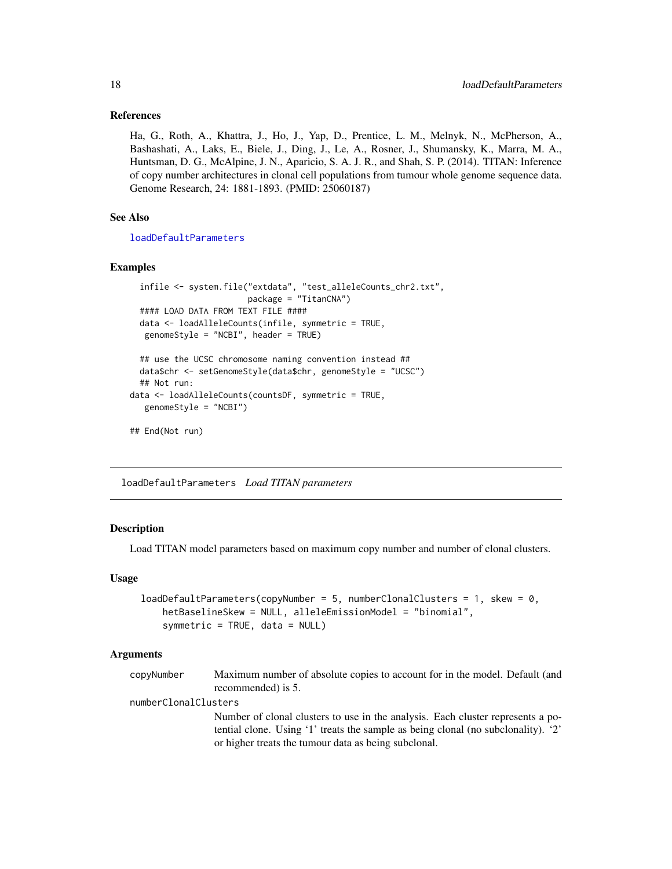#### <span id="page-17-0"></span>References

Ha, G., Roth, A., Khattra, J., Ho, J., Yap, D., Prentice, L. M., Melnyk, N., McPherson, A., Bashashati, A., Laks, E., Biele, J., Ding, J., Le, A., Rosner, J., Shumansky, K., Marra, M. A., Huntsman, D. G., McAlpine, J. N., Aparicio, S. A. J. R., and Shah, S. P. (2014). TITAN: Inference of copy number architectures in clonal cell populations from tumour whole genome sequence data. Genome Research, 24: 1881-1893. (PMID: 25060187)

# See Also

[loadDefaultParameters](#page-17-1)

#### Examples

```
infile <- system.file("extdata", "test_alleleCounts_chr2.txt",
                        package = "TitanCNA")
 #### LOAD DATA FROM TEXT FILE ####
 data <- loadAlleleCounts(infile, symmetric = TRUE,
  genomeStyle = "NCBI", header = TRUE)
 ## use the UCSC chromosome naming convention instead ##
 data$chr <- setGenomeStyle(data$chr, genomeStyle = "UCSC")
 ## Not run:
data <- loadAlleleCounts(countsDF, symmetric = TRUE,
  genomeStyle = "NCBI")
## End(Not run)
```
<span id="page-17-1"></span>loadDefaultParameters *Load TITAN parameters*

#### Description

Load TITAN model parameters based on maximum copy number and number of clonal clusters.

#### Usage

```
loadDefaultParameters(copyNumber = 5, numberClonalClusters = 1, skew = 0,hetBaselineSkew = NULL, alleleEmissionModel = "binomial",
   symmetric = TRUE, data = NULL)
```
#### Arguments

copyNumber Maximum number of absolute copies to account for in the model. Default (and recommended) is 5.

numberClonalClusters

Number of clonal clusters to use in the analysis. Each cluster represents a potential clone. Using '1' treats the sample as being clonal (no subclonality). '2' or higher treats the tumour data as being subclonal.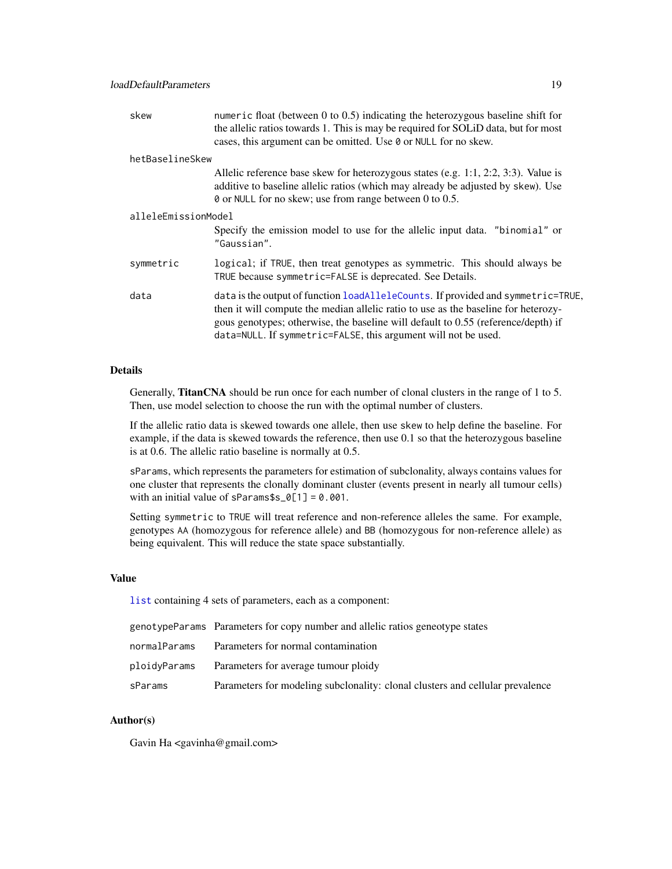<span id="page-18-0"></span>

| skew                | numeric float (between $0$ to $0.5$ ) indicating the heterozygous baseline shift for<br>the allelic ratios towards 1. This is may be required for SOLID data, but for most<br>cases, this argument can be omitted. Use 0 or NULL for no skew.                                                                                 |  |
|---------------------|-------------------------------------------------------------------------------------------------------------------------------------------------------------------------------------------------------------------------------------------------------------------------------------------------------------------------------|--|
| hetBaselineSkew     |                                                                                                                                                                                                                                                                                                                               |  |
|                     | Allelic reference base skew for heterozygous states (e.g. 1:1, 2:2, 3:3). Value is<br>additive to baseline allelic ratios (which may already be adjusted by skew). Use<br>0 or NULL for no skew; use from range between 0 to 0.5.                                                                                             |  |
| alleleEmissionModel |                                                                                                                                                                                                                                                                                                                               |  |
|                     | Specify the emission model to use for the allelic input data. "binomial" or<br>"Gaussian".                                                                                                                                                                                                                                    |  |
| symmetric           | logical; if TRUE, then treat genotypes as symmetric. This should always be<br>TRUE because symmetric=FALSE is deprecated. See Details.                                                                                                                                                                                        |  |
| data                | data is the output of function loadAlleleCounts. If provided and symmetric=TRUE,<br>then it will compute the median allelic ratio to use as the baseline for heterozy-<br>gous genotypes; otherwise, the baseline will default to 0.55 (reference/depth) if<br>data=NULL. If symmetric=FALSE, this argument will not be used. |  |

# Details

Generally, TitanCNA should be run once for each number of clonal clusters in the range of 1 to 5. Then, use model selection to choose the run with the optimal number of clusters.

If the allelic ratio data is skewed towards one allele, then use skew to help define the baseline. For example, if the data is skewed towards the reference, then use 0.1 so that the heterozygous baseline is at 0.6. The allelic ratio baseline is normally at 0.5.

sParams, which represents the parameters for estimation of subclonality, always contains values for one cluster that represents the clonally dominant cluster (events present in nearly all tumour cells) with an initial value of sParams $s_0[1] = 0.001$ .

Setting symmetric to TRUE will treat reference and non-reference alleles the same. For example, genotypes AA (homozygous for reference allele) and BB (homozygous for non-reference allele) as being equivalent. This will reduce the state space substantially.

#### Value

[list](#page-0-0) containing 4 sets of parameters, each as a component:

|              | genotypeParams Parameters for copy number and allelic ratios geneotype states |
|--------------|-------------------------------------------------------------------------------|
| normalParams | Parameters for normal contamination                                           |
| ploidyParams | Parameters for average tumour ploidy                                          |
| sParams      | Parameters for modeling subclonality: clonal clusters and cellular prevalence |

#### Author(s)

Gavin Ha <gavinha@gmail.com>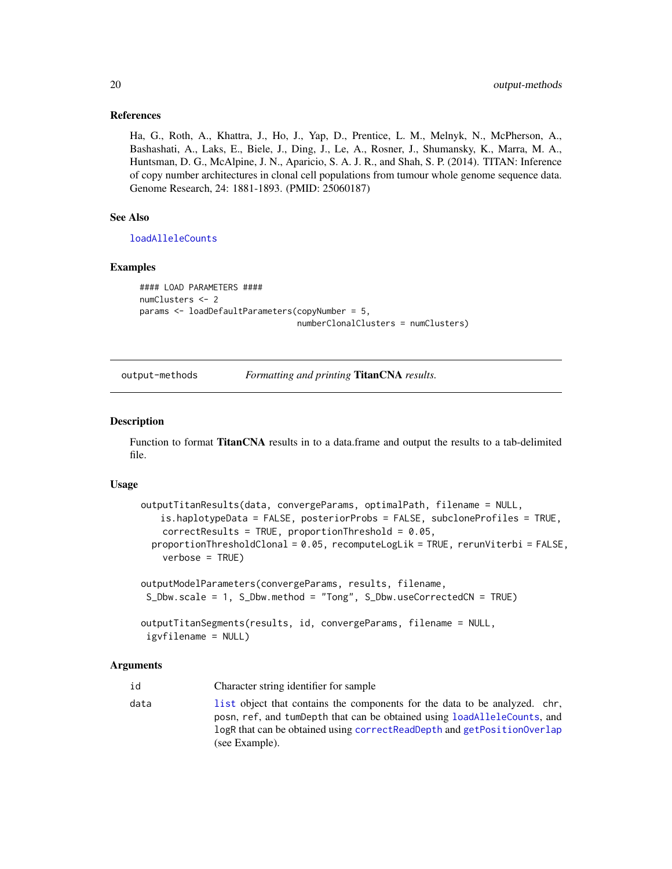#### <span id="page-19-0"></span>References

Ha, G., Roth, A., Khattra, J., Ho, J., Yap, D., Prentice, L. M., Melnyk, N., McPherson, A., Bashashati, A., Laks, E., Biele, J., Ding, J., Le, A., Rosner, J., Shumansky, K., Marra, M. A., Huntsman, D. G., McAlpine, J. N., Aparicio, S. A. J. R., and Shah, S. P. (2014). TITAN: Inference of copy number architectures in clonal cell populations from tumour whole genome sequence data. Genome Research, 24: 1881-1893. (PMID: 25060187)

# See Also

[loadAlleleCounts](#page-15-1)

#### Examples

```
#### LOAD PARAMETERS ####
numClusters <- 2
params <- loadDefaultParameters(copyNumber = 5,
                                numberClonalClusters = numClusters)
```
#### output-methods *Formatting and printing* TitanCNA *results.*

#### <span id="page-19-1"></span>Description

Function to format TitanCNA results in to a data.frame and output the results to a tab-delimited file.

#### Usage

```
outputTitanResults(data, convergeParams, optimalPath, filename = NULL,
   is.haplotypeData = FALSE, posteriorProbs = FALSE, subcloneProfiles = TRUE,
   correctResults = TRUE, proportionThreshold = 0.05,
 proportionThresholdClonal = 0.05, recomputeLogLik = TRUE, rerunViterbi = FALSE,
   verbose = TRUE)
outputModelParameters(convergeParams, results, filename,
S_Dbw.scale = 1, S_Dbw.method = "Tong", S_Dbw.useCorrectedCN = TRUE)
outputTitanSegments(results, id, convergeParams, filename = NULL,
igvfilename = NULL)
```
#### Arguments

id Character string identifier for sample data [list](#page-0-0) object that contains the components for the data to be analyzed. chr, posn, ref, and tumDepth that can be obtained using [loadAlleleCounts](#page-15-1), and logR that can be obtained using [correctReadDepth](#page-7-1) and [getPositionOverlap](#page-11-1) (see Example).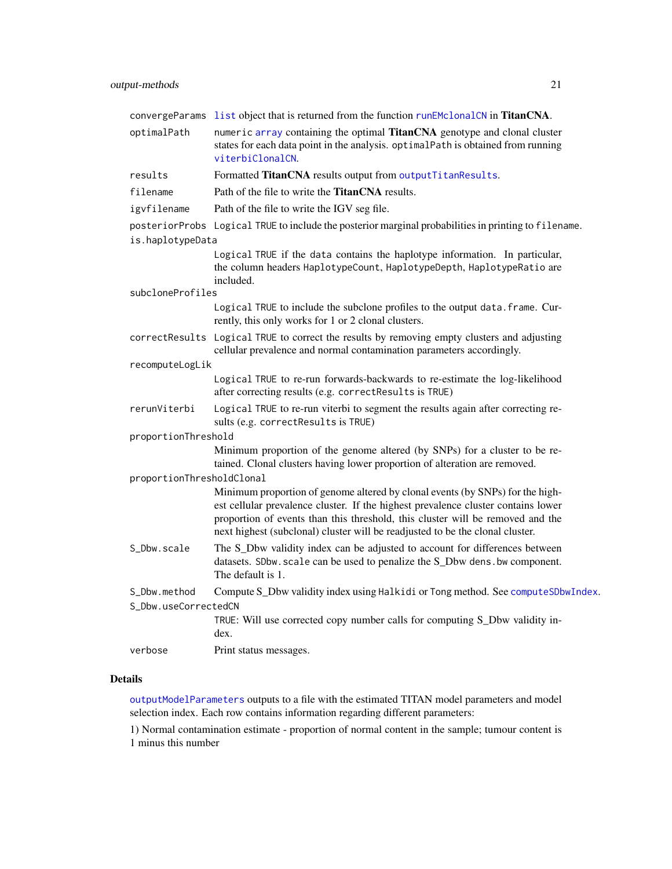<span id="page-20-0"></span>

|                           | convergeParams list object that is returned from the function runEMclonalCN in TitanCNA.                                                                                                                                                                                                                                              |
|---------------------------|---------------------------------------------------------------------------------------------------------------------------------------------------------------------------------------------------------------------------------------------------------------------------------------------------------------------------------------|
| optimalPath               | numeric array containing the optimal TitanCNA genotype and clonal cluster<br>states for each data point in the analysis. optimalPath is obtained from running<br>viterbiClonalCN.                                                                                                                                                     |
| results                   | Formatted TitanCNA results output from outputTitanResults.                                                                                                                                                                                                                                                                            |
| filename                  | Path of the file to write the <b>TitanCNA</b> results.                                                                                                                                                                                                                                                                                |
| igvfilename               | Path of the file to write the IGV seg file.                                                                                                                                                                                                                                                                                           |
|                           | posteriorProbs Logical TRUE to include the posterior marginal probabilities in printing to filename.                                                                                                                                                                                                                                  |
| is.haplotypeData          |                                                                                                                                                                                                                                                                                                                                       |
|                           | Logical TRUE if the data contains the haplotype information. In particular,<br>the column headers HaplotypeCount, HaplotypeDepth, HaplotypeRatio are<br>included.                                                                                                                                                                     |
| subcloneProfiles          |                                                                                                                                                                                                                                                                                                                                       |
|                           | Logical TRUE to include the subclone profiles to the output data. frame. Cur-<br>rently, this only works for 1 or 2 clonal clusters.                                                                                                                                                                                                  |
|                           | correctResults Logical TRUE to correct the results by removing empty clusters and adjusting<br>cellular prevalence and normal contamination parameters accordingly.                                                                                                                                                                   |
| recomputeLogLik           |                                                                                                                                                                                                                                                                                                                                       |
|                           | Logical TRUE to re-run forwards-backwards to re-estimate the log-likelihood<br>after correcting results (e.g. correctResults is TRUE)                                                                                                                                                                                                 |
| rerunViterbi              | Logical TRUE to re-run viterbi to segment the results again after correcting re-<br>sults (e.g. correctResults is TRUE)                                                                                                                                                                                                               |
| proportionThreshold       |                                                                                                                                                                                                                                                                                                                                       |
|                           | Minimum proportion of the genome altered (by SNPs) for a cluster to be re-<br>tained. Clonal clusters having lower proportion of alteration are removed.                                                                                                                                                                              |
| proportionThresholdClonal |                                                                                                                                                                                                                                                                                                                                       |
|                           | Minimum proportion of genome altered by clonal events (by SNPs) for the high-<br>est cellular prevalence cluster. If the highest prevalence cluster contains lower<br>proportion of events than this threshold, this cluster will be removed and the<br>next highest (subclonal) cluster will be readjusted to be the clonal cluster. |
| S_Dbw.scale               | The S_Dbw validity index can be adjusted to account for differences between<br>datasets. SDbw. scale can be used to penalize the S_Dbw dens. bw component.<br>The default is 1.                                                                                                                                                       |
| S_Dbw.method              | Compute S_Dbw validity index using Halkidi or Tong method. See computeSDbwIndex.                                                                                                                                                                                                                                                      |
| S_Dbw.useCorrectedCN      |                                                                                                                                                                                                                                                                                                                                       |
|                           | TRUE: Will use corrected copy number calls for computing S_Dbw validity in-<br>dex.                                                                                                                                                                                                                                                   |
| verbose                   | Print status messages.                                                                                                                                                                                                                                                                                                                |

# Details

[outputModelParameters](#page-19-1) outputs to a file with the estimated TITAN model parameters and model selection index. Each row contains information regarding different parameters:

1) Normal contamination estimate - proportion of normal content in the sample; tumour content is 1 minus this number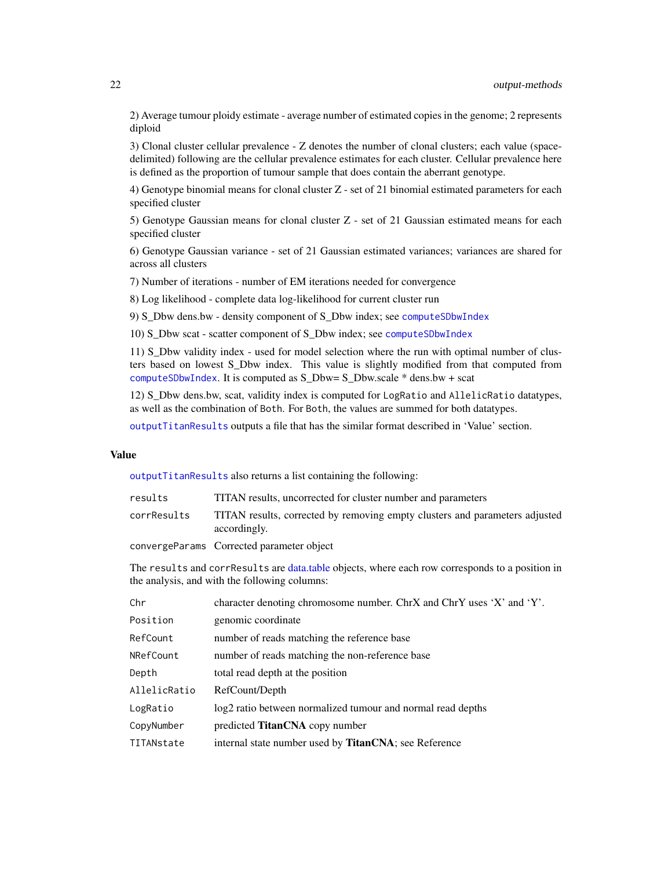<span id="page-21-0"></span>2) Average tumour ploidy estimate - average number of estimated copies in the genome; 2 represents diploid

3) Clonal cluster cellular prevalence - Z denotes the number of clonal clusters; each value (spacedelimited) following are the cellular prevalence estimates for each cluster. Cellular prevalence here is defined as the proportion of tumour sample that does contain the aberrant genotype.

4) Genotype binomial means for clonal cluster Z - set of 21 binomial estimated parameters for each specified cluster

5) Genotype Gaussian means for clonal cluster Z - set of 21 Gaussian estimated means for each specified cluster

6) Genotype Gaussian variance - set of 21 Gaussian estimated variances; variances are shared for across all clusters

7) Number of iterations - number of EM iterations needed for convergence

8) Log likelihood - complete data log-likelihood for current cluster run

9) S\_Dbw dens.bw - density component of S\_Dbw index; see [computeSDbwIndex](#page-3-1)

10) S\_Dbw scat - scatter component of S\_Dbw index; see [computeSDbwIndex](#page-3-1)

11) S\_Dbw validity index - used for model selection where the run with optimal number of clusters based on lowest S\_Dbw index. This value is slightly modified from that computed from [computeSDbwIndex](#page-3-1). It is computed as S\_Dbw= S\_Dbw.scale \* dens.bw + scat

12) S\_Dbw dens.bw, scat, validity index is computed for LogRatio and AllelicRatio datatypes, as well as the combination of Both. For Both, the values are summed for both datatypes.

[outputTitanResults](#page-19-1) outputs a file that has the similar format described in 'Value' section.

#### Value

[outputTitanResults](#page-19-1) also returns a list containing the following:

| results     | TITAN results, uncorrected for cluster number and parameters                                |
|-------------|---------------------------------------------------------------------------------------------|
| corrResults | TITAN results, corrected by removing empty clusters and parameters adjusted<br>accordingly. |
|             | convergeParams Corrected parameter object                                                   |

The results and corrResults are [data.table](#page-0-0) objects, where each row corresponds to a position in the analysis, and with the following columns:

| Chr          | character denoting chromosome number. ChrX and ChrY uses 'X' and 'Y'. |
|--------------|-----------------------------------------------------------------------|
| Position     | genomic coordinate                                                    |
| RefCount     | number of reads matching the reference base                           |
| NRefCount    | number of reads matching the non-reference base                       |
| Depth        | total read depth at the position                                      |
| AllelicRatio | RefCount/Depth                                                        |
| LogRatio     | log2 ratio between normalized tumour and normal read depths           |
| CopyNumber   | predicted <b>TitanCNA</b> copy number                                 |
| TITANstate   | internal state number used by <b>TitanCNA</b> ; see Reference         |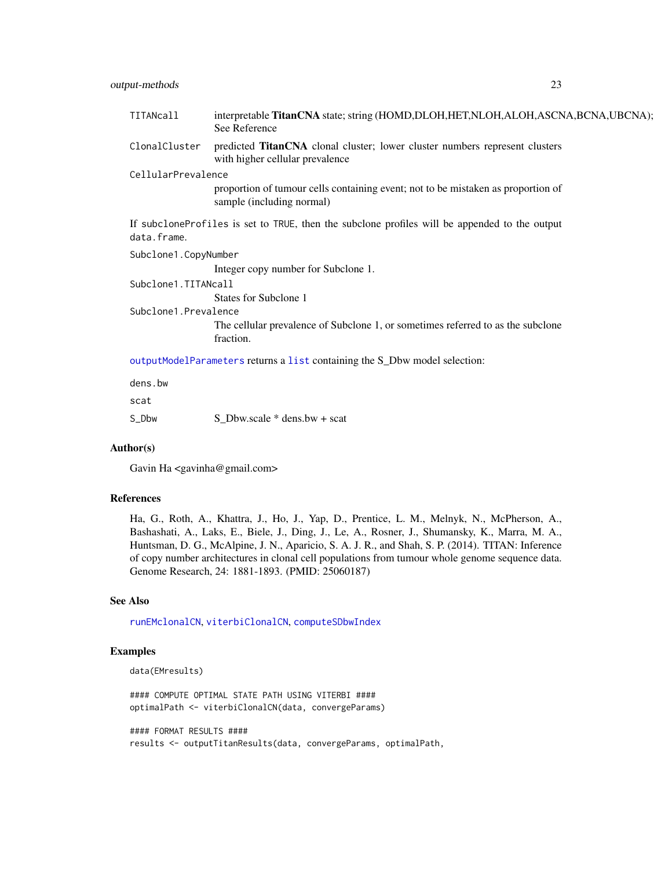<span id="page-22-0"></span>

| TITANcall            | interpretable TitanCNA state; string (HOMD, DLOH, HET, NLOH, ALOH, ASCNA, BCNA, UBCNA);<br>See Reference       |
|----------------------|----------------------------------------------------------------------------------------------------------------|
| ClonalCluster        | predicted TitanCNA clonal cluster; lower cluster numbers represent clusters<br>with higher cellular prevalence |
| CellularPrevalence   |                                                                                                                |
|                      | proportion of tumour cells containing event; not to be mistaken as proportion of<br>sample (including normal)  |
| data.frame.          | If subcloneProfiles is set to TRUE, then the subclone profiles will be appended to the output                  |
| Subclone1.CopyNumber |                                                                                                                |
|                      | Integer copy number for Subclone 1.                                                                            |
| Subclone1.TITANcall  |                                                                                                                |
|                      | States for Subclone 1                                                                                          |
| Subclone1.Prevalence |                                                                                                                |
|                      | The cellular prevalence of Subclone 1, or sometimes referred to as the subclone<br>fraction.                   |
|                      | outputModelParameters returns a list containing the S_Dbw model selection:                                     |
| dens.bw              |                                                                                                                |
| scat                 |                                                                                                                |

#### Author(s)

Gavin Ha <gavinha@gmail.com>

S\_Dbw S\_Dbw.scale \* dens.bw + scat

#### References

Ha, G., Roth, A., Khattra, J., Ho, J., Yap, D., Prentice, L. M., Melnyk, N., McPherson, A., Bashashati, A., Laks, E., Biele, J., Ding, J., Le, A., Rosner, J., Shumansky, K., Marra, M. A., Huntsman, D. G., McAlpine, J. N., Aparicio, S. A. J. R., and Shah, S. P. (2014). TITAN: Inference of copy number architectures in clonal cell populations from tumour whole genome sequence data. Genome Research, 24: 1881-1893. (PMID: 25060187)

#### See Also

[runEMclonalCN](#page-26-1), [viterbiClonalCN](#page-31-1), [computeSDbwIndex](#page-3-1)

# Examples

```
data(EMresults)
```
#### COMPUTE OPTIMAL STATE PATH USING VITERBI #### optimalPath <- viterbiClonalCN(data, convergeParams)

#### FORMAT RESULTS #### results <- outputTitanResults(data, convergeParams, optimalPath,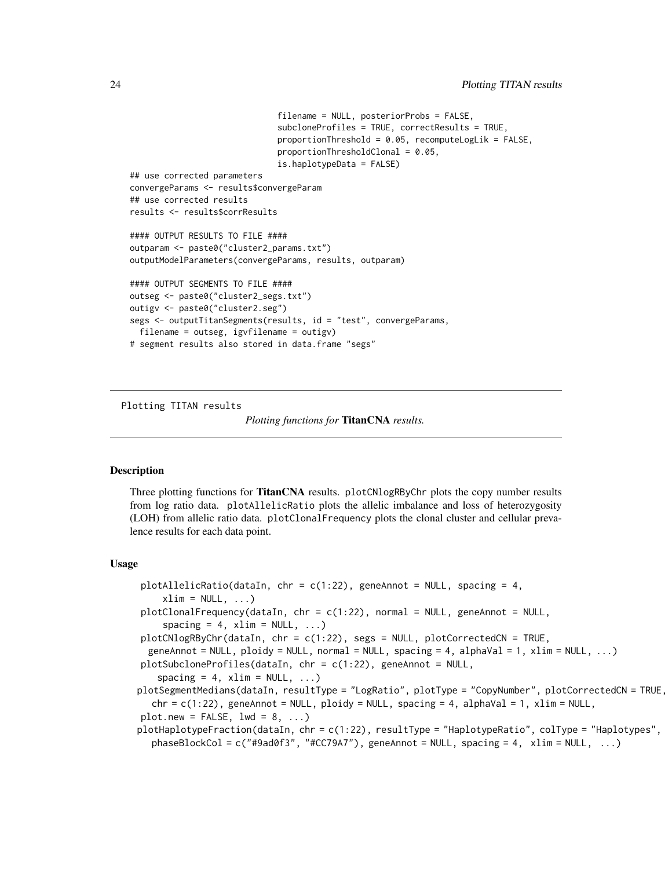```
filename = NULL, posteriorProbs = FALSE,
                              subcloneProfiles = TRUE, correctResults = TRUE,
                              proportionThreshold = 0.05, recomputeLogLik = FALSE,
                              proportionThresholdClonal = 0.05,
                              is.haplotypeData = FALSE)
## use corrected parameters
convergeParams <- results$convergeParam
## use corrected results
results <- results$corrResults
#### OUTPUT RESULTS TO FILE ####
outparam <- paste0("cluster2_params.txt")
outputModelParameters(convergeParams, results, outparam)
#### OUTPUT SEGMENTS TO FILE ####
outseg <- paste0("cluster2_segs.txt")
outigv <- paste0("cluster2.seg")
segs <- outputTitanSegments(results, id = "test", convergeParams,
 filename = outseg, igvfilename = outigv)
# segment results also stored in data.frame "segs"
```
Plotting TITAN results

```
Plotting functions for TitanCNA results.
```
# <span id="page-23-1"></span>**Description**

Three plotting functions for **TitanCNA** results. plotCNlogRByChr plots the copy number results from log ratio data. plotAllelicRatio plots the allelic imbalance and loss of heterozygosity (LOH) from allelic ratio data. plotClonalFrequency plots the clonal cluster and cellular prevalence results for each data point.

#### Usage

```
plotAllelicRatio(dataIn, chr = c(1:22), geneAnnot = NULL, spacing = 4,
    xlim = NULL, ...plotClonalFrequency(dataIn, chr = c(1:22), normal = NULL, geneAnnot = NULL,
    spacing = 4, xlim = NULL, ...)
plotCNlogRByChr(dataIn, chr = c(1:22), segs = NULL, plotCorrectedCN = TRUE,
  geneAnnot = NULL, ploidy = NULL, normal = NULL, spacing = 4, alphaVal = 1, xlim = NULL, ...plotSubcloneProfiles(dataIn, chr = c(1:22), geneAnnot = NULL,
   spacing = 4, xlim = NULL, ...plotSegmentMedians(dataIn, resultType = "LogRatio", plotType = "CopyNumber", plotCorrectedCN = TRUE,
  chr = c(1:22), geneAnnot = NULL, ploidy = NULL, spacing = 4, alphaVal = 1, xlim = NULL,
plot.new = FALSE, lwd = 8, ...)
plotHaplotypeFraction(dataIn, chr = c(1:22), resultType = "HaplotypeRatio", colType = "Haplotypes",
  phaseBlockCol = c("#9ad0f3", "#CC79A7"), geneAnnot = NULL, spacing = 4, xlim = NULL, ...)
```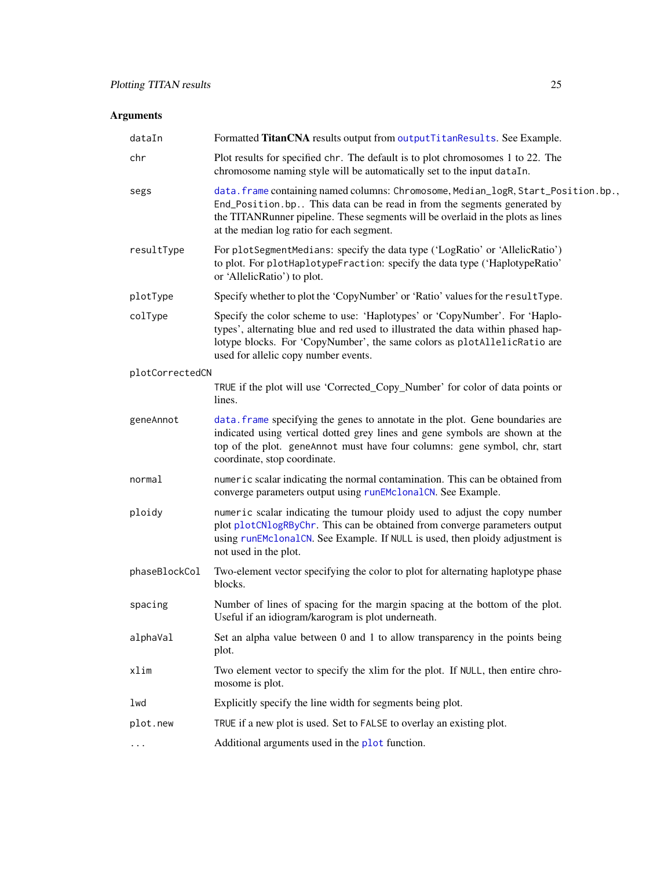# <span id="page-24-0"></span>Arguments

| dataIn          | Formatted TitanCNA results output from outputTitanResults. See Example.                                                                                                                                                                                                                      |
|-----------------|----------------------------------------------------------------------------------------------------------------------------------------------------------------------------------------------------------------------------------------------------------------------------------------------|
| chr             | Plot results for specified chr. The default is to plot chromosomes 1 to 22. The<br>chromosome naming style will be automatically set to the input dataIn.                                                                                                                                    |
| segs            | data.frame containing named columns: Chromosome, Median_logR, Start_Position.bp.,<br>End_Position.bp This data can be read in from the segments generated by<br>the TITANRunner pipeline. These segments will be overlaid in the plots as lines<br>at the median log ratio for each segment. |
| resultType      | For plotSegmentMedians: specify the data type ('LogRatio' or 'AllelicRatio')<br>to plot. For plotHaplotypeFraction: specify the data type ('HaplotypeRatio'<br>or 'AllelicRatio') to plot.                                                                                                   |
| plotType        | Specify whether to plot the 'CopyNumber' or 'Ratio' values for the resultType.                                                                                                                                                                                                               |
| colType         | Specify the color scheme to use: 'Haplotypes' or 'CopyNumber'. For 'Haplo-<br>types', alternating blue and red used to illustrated the data within phased hap-<br>lotype blocks. For 'CopyNumber', the same colors as plotAllelicRatio are<br>used for allelic copy number events.           |
| plotCorrectedCN |                                                                                                                                                                                                                                                                                              |
|                 | TRUE if the plot will use 'Corrected_Copy_Number' for color of data points or<br>lines.                                                                                                                                                                                                      |
| geneAnnot       | data. frame specifying the genes to annotate in the plot. Gene boundaries are<br>indicated using vertical dotted grey lines and gene symbols are shown at the<br>top of the plot. geneAnnot must have four columns: gene symbol, chr, start<br>coordinate, stop coordinate.                  |
| normal          | numeric scalar indicating the normal contamination. This can be obtained from<br>converge parameters output using runEMclonalCN. See Example.                                                                                                                                                |
| ploidy          | numeric scalar indicating the tumour ploidy used to adjust the copy number<br>plot plotCNlogRByChr. This can be obtained from converge parameters output<br>using runEMclonalCN. See Example. If NULL is used, then ploidy adjustment is<br>not used in the plot.                            |
| phaseBlockCol   | Two-element vector specifying the color to plot for alternating haplotype phase<br>blocks.                                                                                                                                                                                                   |
| spacing         | Number of lines of spacing for the margin spacing at the bottom of the plot.<br>Useful if an idiogram/karogram is plot underneath.                                                                                                                                                           |
| alphaVal        | Set an alpha value between 0 and 1 to allow transparency in the points being<br>plot.                                                                                                                                                                                                        |
| xlim            | Two element vector to specify the xlim for the plot. If NULL, then entire chro-<br>mosome is plot.                                                                                                                                                                                           |
| lwd             | Explicitly specify the line width for segments being plot.                                                                                                                                                                                                                                   |
| plot.new        | TRUE if a new plot is used. Set to FALSE to overlay an existing plot.                                                                                                                                                                                                                        |
|                 | Additional arguments used in the plot function.                                                                                                                                                                                                                                              |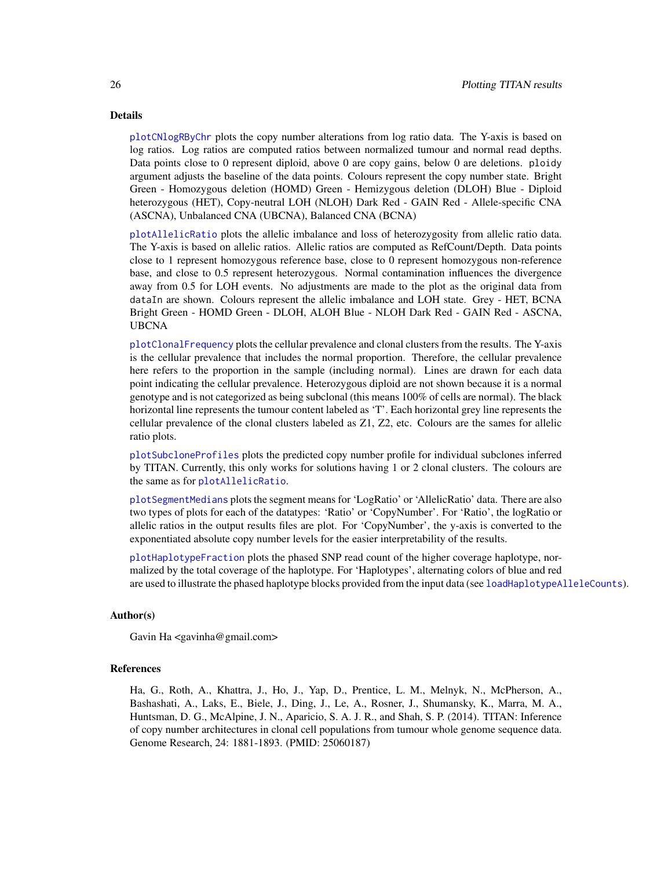#### <span id="page-25-0"></span>Details

[plotCNlogRByChr](#page-23-1) plots the copy number alterations from log ratio data. The Y-axis is based on log ratios. Log ratios are computed ratios between normalized tumour and normal read depths. Data points close to 0 represent diploid, above 0 are copy gains, below 0 are deletions. ploidy argument adjusts the baseline of the data points. Colours represent the copy number state. Bright Green - Homozygous deletion (HOMD) Green - Hemizygous deletion (DLOH) Blue - Diploid heterozygous (HET), Copy-neutral LOH (NLOH) Dark Red - GAIN Red - Allele-specific CNA (ASCNA), Unbalanced CNA (UBCNA), Balanced CNA (BCNA)

[plotAllelicRatio](#page-23-1) plots the allelic imbalance and loss of heterozygosity from allelic ratio data. The Y-axis is based on allelic ratios. Allelic ratios are computed as RefCount/Depth. Data points close to 1 represent homozygous reference base, close to 0 represent homozygous non-reference base, and close to 0.5 represent heterozygous. Normal contamination influences the divergence away from 0.5 for LOH events. No adjustments are made to the plot as the original data from dataIn are shown. Colours represent the allelic imbalance and LOH state. Grey - HET, BCNA Bright Green - HOMD Green - DLOH, ALOH Blue - NLOH Dark Red - GAIN Red - ASCNA, UBCNA

[plotClonalFrequency](#page-23-1) plots the cellular prevalence and clonal clusters from the results. The Y-axis is the cellular prevalence that includes the normal proportion. Therefore, the cellular prevalence here refers to the proportion in the sample (including normal). Lines are drawn for each data point indicating the cellular prevalence. Heterozygous diploid are not shown because it is a normal genotype and is not categorized as being subclonal (this means 100% of cells are normal). The black horizontal line represents the tumour content labeled as 'T'. Each horizontal grey line represents the cellular prevalence of the clonal clusters labeled as Z1, Z2, etc. Colours are the sames for allelic ratio plots.

[plotSubcloneProfiles](#page-23-1) plots the predicted copy number profile for individual subclones inferred by TITAN. Currently, this only works for solutions having 1 or 2 clonal clusters. The colours are the same as for [plotAllelicRatio](#page-23-1).

[plotSegmentMedians](#page-23-1) plots the segment means for 'LogRatio' or 'AllelicRatio' data. There are also two types of plots for each of the datatypes: 'Ratio' or 'CopyNumber'. For 'Ratio', the logRatio or allelic ratios in the output results files are plot. For 'CopyNumber', the y-axis is converted to the exponentiated absolute copy number levels for the easier interpretability of the results.

[plotHaplotypeFraction](#page-23-1) plots the phased SNP read count of the higher coverage haplotype, normalized by the total coverage of the haplotype. For 'Haplotypes', alternating colors of blue and red are used to illustrate the phased haplotype blocks provided from the input data (see [loadHaplotypeAlleleCounts](#page-12-1)).

#### Author(s)

Gavin Ha <gavinha@gmail.com>

#### References

Ha, G., Roth, A., Khattra, J., Ho, J., Yap, D., Prentice, L. M., Melnyk, N., McPherson, A., Bashashati, A., Laks, E., Biele, J., Ding, J., Le, A., Rosner, J., Shumansky, K., Marra, M. A., Huntsman, D. G., McAlpine, J. N., Aparicio, S. A. J. R., and Shah, S. P. (2014). TITAN: Inference of copy number architectures in clonal cell populations from tumour whole genome sequence data. Genome Research, 24: 1881-1893. (PMID: 25060187)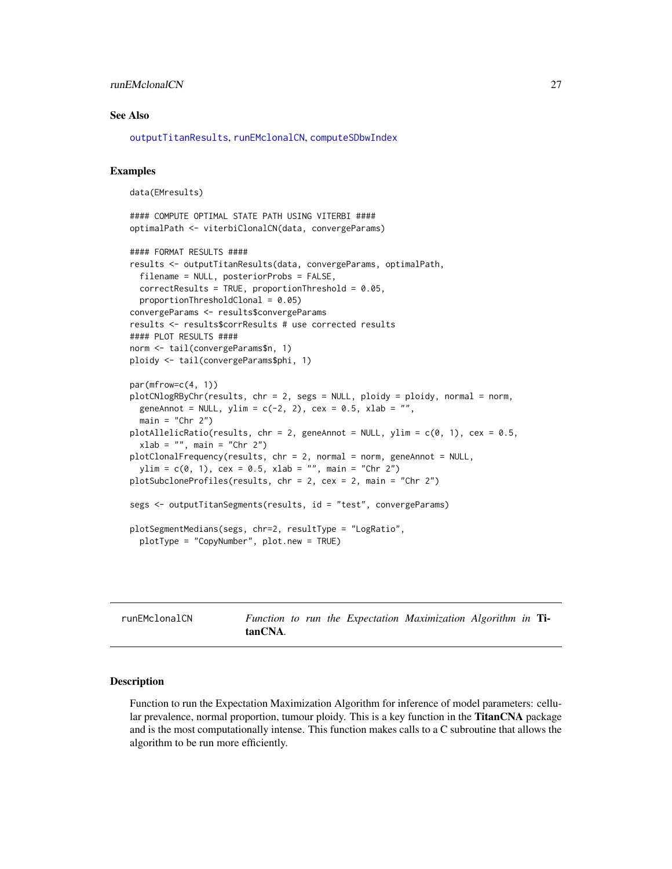# <span id="page-26-0"></span>runEMclonalCN 27

#### See Also

[outputTitanResults](#page-19-1), [runEMclonalCN](#page-26-1), [computeSDbwIndex](#page-3-1)

#### Examples

```
data(EMresults)
```

```
#### COMPUTE OPTIMAL STATE PATH USING VITERBI ####
optimalPath <- viterbiClonalCN(data, convergeParams)
```

```
#### FORMAT RESULTS ####
results <- outputTitanResults(data, convergeParams, optimalPath,
 filename = NULL, posteriorProbs = FALSE,
 correctResults = TRUE, proportionThreshold = 0.05,
 proportionThresholdClonal = 0.05)
convergeParams <- results$convergeParams
results <- results$corrResults # use corrected results
#### PLOT RESULTS ####
norm <- tail(convergeParams$n, 1)
ploidy <- tail(convergeParams$phi, 1)
par(mfrow=c(4, 1))
plotCNlogRByChr(results, chr = 2, segs = NULL, ploidy = ploidy, normal = norm,
 geneAnnot = NULL, ylim = c(-2, 2), cex = 0.5, xlab = "",
 main = "Chr 2")plotAllelicRatio(results, chr = 2, geneAnnot = NULL, ylim = c(0, 1), cex = 0.5,
 xlab = "", main = "Chr 2")
plotClonalFrequency(results, chr = 2, normal = norm, geneAnnot = NULL,
 ylim = c(0, 1), cex = 0.5, xlab = "", main = "Chr 2")plotSubcloneProfiles(results, chr = 2, cex = 2, main = "Chr 2")
segs <- outputTitanSegments(results, id = "test", convergeParams)
plotSegmentMedians(segs, chr=2, resultType = "LogRatio",
 plotType = "CopyNumber", plot.new = TRUE)
```
<span id="page-26-1"></span>runEMclonalCN *Function to run the Expectation Maximization Algorithm in* TitanCNA*.*

### **Description**

Function to run the Expectation Maximization Algorithm for inference of model parameters: cellular prevalence, normal proportion, tumour ploidy. This is a key function in the **TitanCNA** package and is the most computationally intense. This function makes calls to a C subroutine that allows the algorithm to be run more efficiently.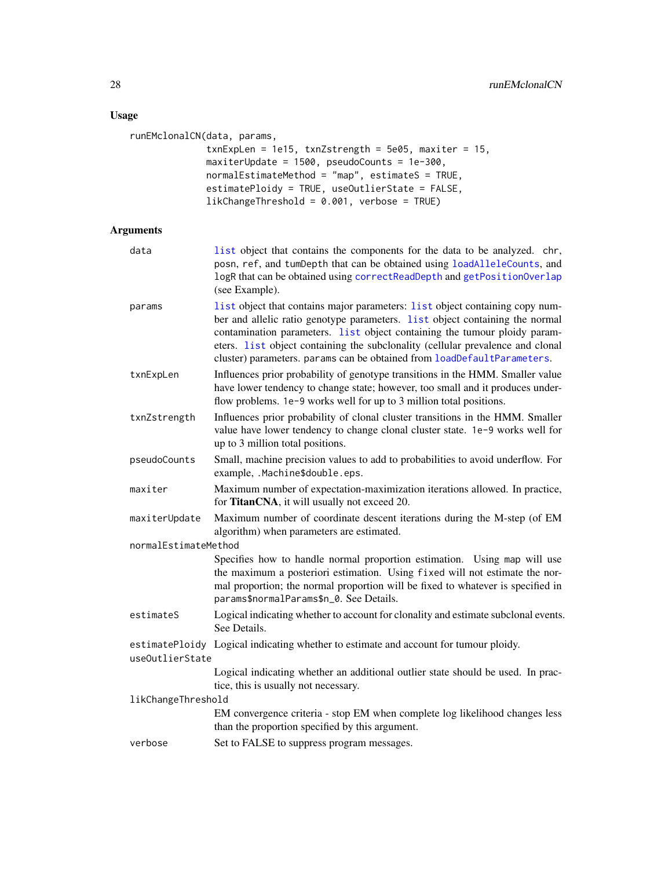# <span id="page-27-0"></span>Usage

```
runEMclonalCN(data, params,
              txnExpLen = 1e15, txnZstrength = 5e05, maxiter = 15,
              maxiterUpdate = 1500, pseudoCounts = 1e-300,
              normalEstimateMethod = "map", estimateS = TRUE,
              estimatePloidy = TRUE, useOutlierState = FALSE,
              likChangeThreshold = 0.001, verbose = TRUE)
```
# Arguments

| data                 | list object that contains the components for the data to be analyzed. chr,<br>posn, ref, and tumDepth that can be obtained using loadAlleleCounts, and<br>logR that can be obtained using correctReadDepth and getPositionOverlap<br>(see Example).                                                                                                                                                           |
|----------------------|---------------------------------------------------------------------------------------------------------------------------------------------------------------------------------------------------------------------------------------------------------------------------------------------------------------------------------------------------------------------------------------------------------------|
| params               | list object that contains major parameters: list object containing copy num-<br>ber and allelic ratio genotype parameters. list object containing the normal<br>contamination parameters. list object containing the tumour ploidy param-<br>eters. <i>list</i> object containing the subclonality (cellular prevalence and clonal<br>cluster) parameters. params can be obtained from loadDefaultParameters. |
| txnExpLen            | Influences prior probability of genotype transitions in the HMM. Smaller value<br>have lower tendency to change state; however, too small and it produces under-<br>flow problems. 1e-9 works well for up to 3 million total positions.                                                                                                                                                                       |
| txnZstrength         | Influences prior probability of clonal cluster transitions in the HMM. Smaller<br>value have lower tendency to change clonal cluster state. 1e-9 works well for<br>up to 3 million total positions.                                                                                                                                                                                                           |
| pseudoCounts         | Small, machine precision values to add to probabilities to avoid underflow. For<br>example, .Machine\$double.eps.                                                                                                                                                                                                                                                                                             |
| maxiter              | Maximum number of expectation-maximization iterations allowed. In practice,<br>for TitanCNA, it will usually not exceed 20.                                                                                                                                                                                                                                                                                   |
| maxiterUpdate        | Maximum number of coordinate descent iterations during the M-step (of EM<br>algorithm) when parameters are estimated.                                                                                                                                                                                                                                                                                         |
| normalEstimateMethod |                                                                                                                                                                                                                                                                                                                                                                                                               |
|                      | Specifies how to handle normal proportion estimation. Using map will use<br>the maximum a posteriori estimation. Using fixed will not estimate the nor-<br>mal proportion; the normal proportion will be fixed to whatever is specified in<br>params\$normalParams\$n_0. See Details.                                                                                                                         |
| estimateS            | Logical indicating whether to account for clonality and estimate subclonal events.<br>See Details.                                                                                                                                                                                                                                                                                                            |
| useOutlierState      | estimatePloidy Logical indicating whether to estimate and account for tumour ploidy.                                                                                                                                                                                                                                                                                                                          |
|                      | Logical indicating whether an additional outlier state should be used. In prac-<br>tice, this is usually not necessary.                                                                                                                                                                                                                                                                                       |
| likChangeThreshold   |                                                                                                                                                                                                                                                                                                                                                                                                               |
|                      | EM convergence criteria - stop EM when complete log likelihood changes less<br>than the proportion specified by this argument.                                                                                                                                                                                                                                                                                |
| verbose              | Set to FALSE to suppress program messages.                                                                                                                                                                                                                                                                                                                                                                    |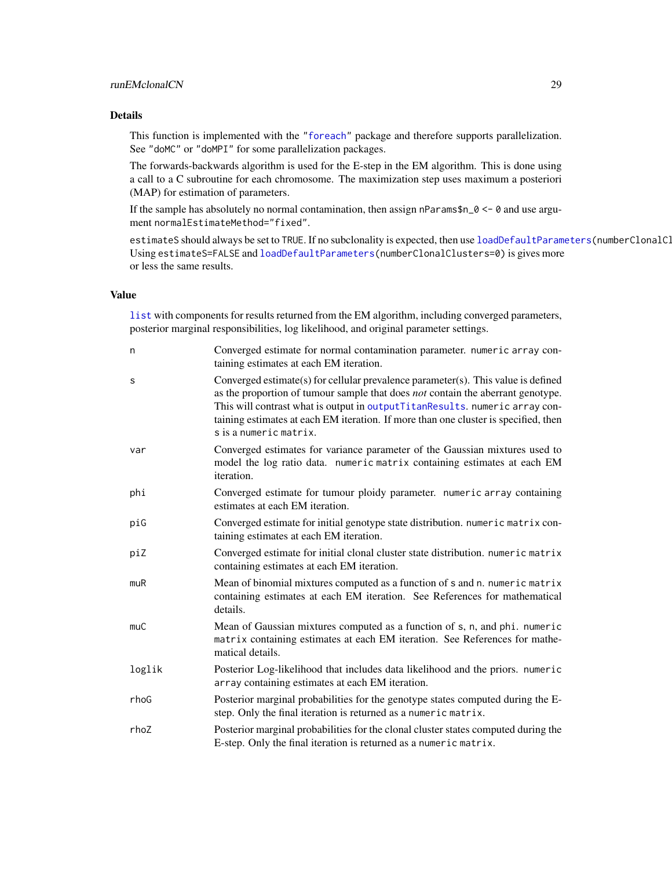# <span id="page-28-0"></span>runEMclonalCN 29

#### Details

This function is implemented with the ["foreach"](#page-0-0) package and therefore supports parallelization. See "doMC" or "doMPI" for some parallelization packages.

The forwards-backwards algorithm is used for the E-step in the EM algorithm. This is done using a call to a C subroutine for each chromosome. The maximization step uses maximum a posteriori (MAP) for estimation of parameters.

If the sample has absolutely no normal contamination, then assign nParams\$n\_ $0 \le \theta$  and use argument normalEstimateMethod="fixed".

estimateS should always be set to TRUE. If no subclonality is expected, then use [loadDefaultParameters\(](#page-17-1)numberClonalCl Using estimateS=FALSE and [loadDefaultParameters\(](#page-17-1)numberClonalClusters=0) is gives more or less the same results.

# Value

[list](#page-0-0) with components for results returned from the EM algorithm, including converged parameters, posterior marginal responsibilities, log likelihood, and original parameter settings.

| n      | Converged estimate for normal contamination parameter. numeric array con-<br>taining estimates at each EM iteration.                                                                                                                                                                                                                                                 |
|--------|----------------------------------------------------------------------------------------------------------------------------------------------------------------------------------------------------------------------------------------------------------------------------------------------------------------------------------------------------------------------|
| S      | Converged estimate(s) for cellular prevalence parameter(s). This value is defined<br>as the proportion of tumour sample that does not contain the aberrant genotype.<br>This will contrast what is output in outputTitanResults. numeric array con-<br>taining estimates at each EM iteration. If more than one cluster is specified, then<br>s is a numeric matrix. |
| var    | Converged estimates for variance parameter of the Gaussian mixtures used to<br>model the log ratio data. numeric matrix containing estimates at each EM<br>iteration.                                                                                                                                                                                                |
| phi    | Converged estimate for tumour ploidy parameter. numeric array containing<br>estimates at each EM iteration.                                                                                                                                                                                                                                                          |
| piG    | Converged estimate for initial genotype state distribution. numeric matrix con-<br>taining estimates at each EM iteration.                                                                                                                                                                                                                                           |
| piZ    | Converged estimate for initial clonal cluster state distribution. numeric matrix<br>containing estimates at each EM iteration.                                                                                                                                                                                                                                       |
| muR    | Mean of binomial mixtures computed as a function of s and n. numeric matrix<br>containing estimates at each EM iteration. See References for mathematical<br>details.                                                                                                                                                                                                |
| muC    | Mean of Gaussian mixtures computed as a function of s, n, and phi. numeric<br>matrix containing estimates at each EM iteration. See References for mathe-<br>matical details.                                                                                                                                                                                        |
| loglik | Posterior Log-likelihood that includes data likelihood and the priors. numeric<br>array containing estimates at each EM iteration.                                                                                                                                                                                                                                   |
| rhoG   | Posterior marginal probabilities for the genotype states computed during the E-<br>step. Only the final iteration is returned as a numeric matrix.                                                                                                                                                                                                                   |
| rhoZ   | Posterior marginal probabilities for the clonal cluster states computed during the<br>E-step. Only the final iteration is returned as a numeric matrix.                                                                                                                                                                                                              |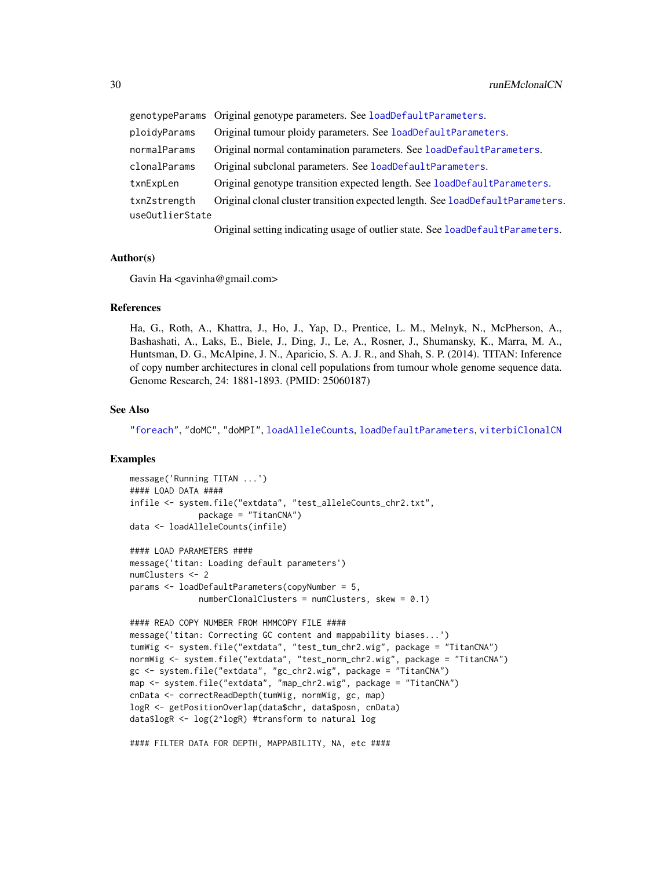<span id="page-29-0"></span>

|                 | genotypeParams Original genotype parameters. See loadDefaultParameters.        |  |
|-----------------|--------------------------------------------------------------------------------|--|
| ploidyParams    | Original tumour ploidy parameters. See loadDefaultParameters.                  |  |
| normalParams    | Original normal contamination parameters. See loadDefaultParameters.           |  |
| clonalParams    | Original subclonal parameters. See loadDefaultParameters.                      |  |
| txnExpLen       | Original genotype transition expected length. See load Default Parameters.     |  |
| txnZstrength    | Original clonal cluster transition expected length. See loadDefaultParameters. |  |
| useOutlierState |                                                                                |  |
|                 | Original setting indicating usage of outlier state. See loadDefaultParameters. |  |

#### Author(s)

Gavin Ha <gavinha@gmail.com>

# References

Ha, G., Roth, A., Khattra, J., Ho, J., Yap, D., Prentice, L. M., Melnyk, N., McPherson, A., Bashashati, A., Laks, E., Biele, J., Ding, J., Le, A., Rosner, J., Shumansky, K., Marra, M. A., Huntsman, D. G., McAlpine, J. N., Aparicio, S. A. J. R., and Shah, S. P. (2014). TITAN: Inference of copy number architectures in clonal cell populations from tumour whole genome sequence data. Genome Research, 24: 1881-1893. (PMID: 25060187)

### See Also

["foreach"](#page-0-0), "doMC", "doMPI", [loadAlleleCounts](#page-15-1), [loadDefaultParameters](#page-17-1), [viterbiClonalCN](#page-31-1)

#### Examples

```
message('Running TITAN ...')
#### LOAD DATA ####
infile <- system.file("extdata", "test_alleleCounts_chr2.txt",
              package = "TitanCNA")
data <- loadAlleleCounts(infile)
#### LOAD PARAMETERS ####
message('titan: Loading default parameters')
numClusters <- 2
params <- loadDefaultParameters(copyNumber = 5,
              numberClonalClusters = numClusters, skew = 0.1)#### READ COPY NUMBER FROM HMMCOPY FILE ####
message('titan: Correcting GC content and mappability biases...')
tumWig <- system.file("extdata", "test_tum_chr2.wig", package = "TitanCNA")
normWig <- system.file("extdata", "test_norm_chr2.wig", package = "TitanCNA")
gc <- system.file("extdata", "gc_chr2.wig", package = "TitanCNA")
map <- system.file("extdata", "map_chr2.wig", package = "TitanCNA")
cnData <- correctReadDepth(tumWig, normWig, gc, map)
logR <- getPositionOverlap(data$chr, data$posn, cnData)
data$logR <- log(2^logR) #transform to natural log
```
#### FILTER DATA FOR DEPTH, MAPPABILITY, NA, etc ####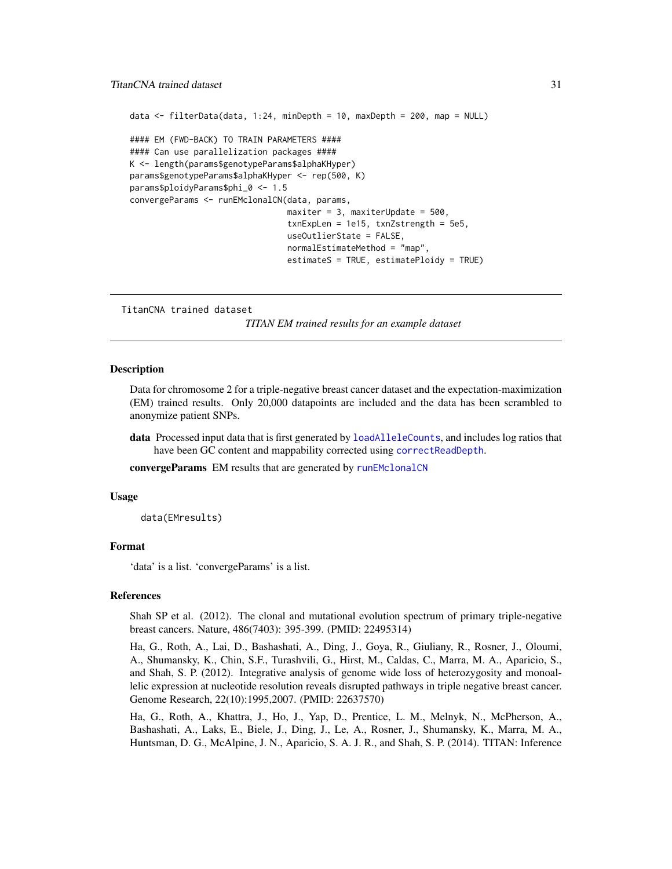#### <span id="page-30-0"></span>TitanCNA trained dataset 31

```
data <- filterData(data, 1:24, minDepth = 10, maxDepth = 200, map = NULL)
#### EM (FWD-BACK) TO TRAIN PARAMETERS ####
#### Can use parallelization packages ####
K <- length(params$genotypeParams$alphaKHyper)
params$genotypeParams$alphaKHyper <- rep(500, K)
params$ploidyParams$phi_0 <- 1.5
convergeParams <- runEMclonalCN(data, params,
                                maxiter = 3, maxiterUpdate = 500,
                                txnExpLen = 1e15, txnZstrength = 5e5,
                                useOutlierState = FALSE,
                                normalEstimateMethod = "map",
                                estimateS = TRUE, estimatePloidy = TRUE)
```
TitanCNA trained dataset

*TITAN EM trained results for an example dataset*

#### **Description**

Data for chromosome 2 for a triple-negative breast cancer dataset and the expectation-maximization (EM) trained results. Only 20,000 datapoints are included and the data has been scrambled to anonymize patient SNPs.

data Processed input data that is first generated by [loadAlleleCounts](#page-15-1), and includes log ratios that have been GC content and mappability corrected using [correctReadDepth](#page-7-1).

convergeParams EM results that are generated by [runEMclonalCN](#page-26-1)

#### Usage

data(EMresults)

#### Format

'data' is a list. 'convergeParams' is a list.

#### References

Shah SP et al. (2012). The clonal and mutational evolution spectrum of primary triple-negative breast cancers. Nature, 486(7403): 395-399. (PMID: 22495314)

Ha, G., Roth, A., Lai, D., Bashashati, A., Ding, J., Goya, R., Giuliany, R., Rosner, J., Oloumi, A., Shumansky, K., Chin, S.F., Turashvili, G., Hirst, M., Caldas, C., Marra, M. A., Aparicio, S., and Shah, S. P. (2012). Integrative analysis of genome wide loss of heterozygosity and monoallelic expression at nucleotide resolution reveals disrupted pathways in triple negative breast cancer. Genome Research, 22(10):1995,2007. (PMID: 22637570)

Ha, G., Roth, A., Khattra, J., Ho, J., Yap, D., Prentice, L. M., Melnyk, N., McPherson, A., Bashashati, A., Laks, E., Biele, J., Ding, J., Le, A., Rosner, J., Shumansky, K., Marra, M. A., Huntsman, D. G., McAlpine, J. N., Aparicio, S. A. J. R., and Shah, S. P. (2014). TITAN: Inference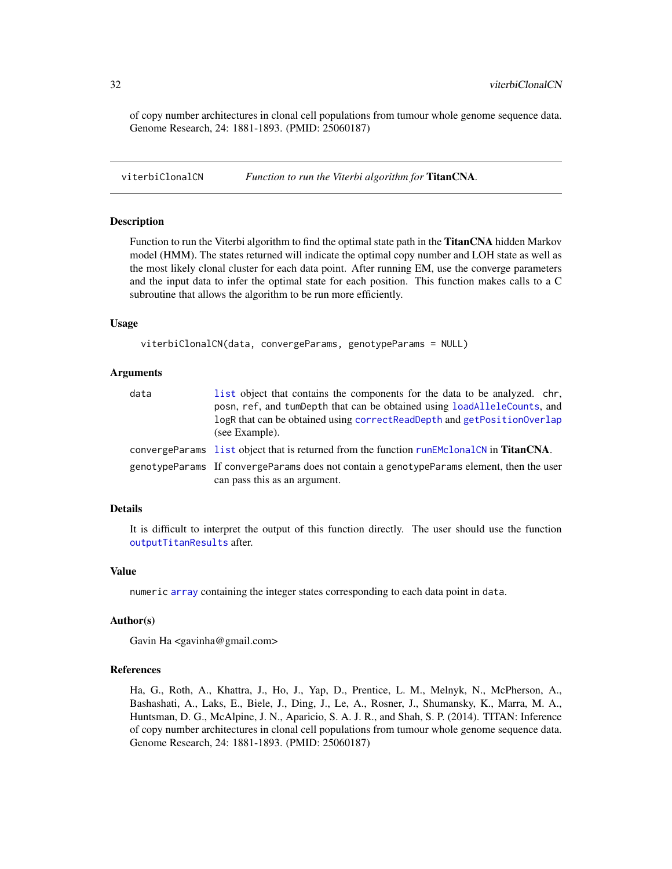of copy number architectures in clonal cell populations from tumour whole genome sequence data. Genome Research, 24: 1881-1893. (PMID: 25060187)

<span id="page-31-1"></span>viterbiClonalCN *Function to run the Viterbi algorithm for* TitanCNA*.*

# Description

Function to run the Viterbi algorithm to find the optimal state path in the TitanCNA hidden Markov model (HMM). The states returned will indicate the optimal copy number and LOH state as well as the most likely clonal cluster for each data point. After running EM, use the converge parameters and the input data to infer the optimal state for each position. This function makes calls to a C subroutine that allows the algorithm to be run more efficiently.

#### Usage

viterbiClonalCN(data, convergeParams, genotypeParams = NULL)

#### Arguments

| data | list object that contains the components for the data to be analyzed. chr,<br>posn, ref, and tumbepth that can be obtained using loadAlleleCounts, and<br>logR that can be obtained using correctReadDepth and getPositionOverlap<br>(see Example). |
|------|-----------------------------------------------------------------------------------------------------------------------------------------------------------------------------------------------------------------------------------------------------|
|      | convergeParams list object that is returned from the function runEMclonalCN in <b>TitanCNA</b> .                                                                                                                                                    |
|      | genotypeParams If convergeParams does not contain a genotypeParams element, then the user<br>can pass this as an argument.                                                                                                                          |

# Details

It is difficult to interpret the output of this function directly. The user should use the function [outputTitanResults](#page-19-1) after.

#### Value

numeric [array](#page-0-0) containing the integer states corresponding to each data point in data.

#### Author(s)

Gavin Ha <gavinha@gmail.com>

# References

Ha, G., Roth, A., Khattra, J., Ho, J., Yap, D., Prentice, L. M., Melnyk, N., McPherson, A., Bashashati, A., Laks, E., Biele, J., Ding, J., Le, A., Rosner, J., Shumansky, K., Marra, M. A., Huntsman, D. G., McAlpine, J. N., Aparicio, S. A. J. R., and Shah, S. P. (2014). TITAN: Inference of copy number architectures in clonal cell populations from tumour whole genome sequence data. Genome Research, 24: 1881-1893. (PMID: 25060187)

<span id="page-31-0"></span>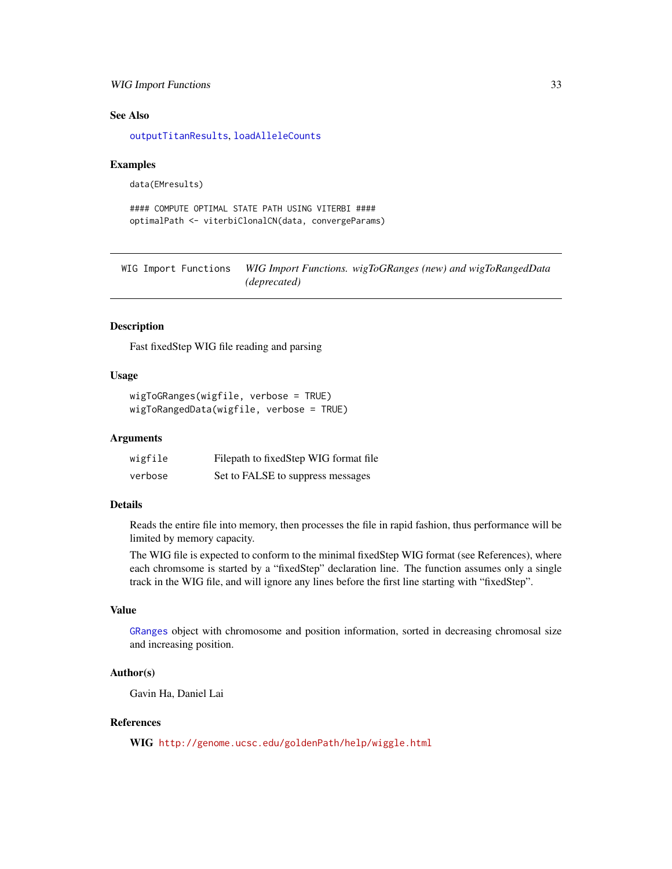# <span id="page-32-0"></span>WIG Import Functions 33

#### See Also

[outputTitanResults](#page-19-1), [loadAlleleCounts](#page-15-1)

#### Examples

```
data(EMresults)
```

```
#### COMPUTE OPTIMAL STATE PATH USING VITERBI ####
optimalPath <- viterbiClonalCN(data, convergeParams)
```
WIG Import Functions *WIG Import Functions. wigToGRanges (new) and wigToRangedData (deprecated)*

#### <span id="page-32-1"></span>Description

Fast fixedStep WIG file reading and parsing

### Usage

```
wigToGRanges(wigfile, verbose = TRUE)
wigToRangedData(wigfile, verbose = TRUE)
```
#### Arguments

| wigfile | Filepath to fixed Step WIG format file |
|---------|----------------------------------------|
| verbose | Set to FALSE to suppress messages      |

#### Details

Reads the entire file into memory, then processes the file in rapid fashion, thus performance will be limited by memory capacity.

The WIG file is expected to conform to the minimal fixedStep WIG format (see References), where each chromsome is started by a "fixedStep" declaration line. The function assumes only a single track in the WIG file, and will ignore any lines before the first line starting with "fixedStep".

# Value

[GRanges](#page-0-0) object with chromosome and position information, sorted in decreasing chromosal size and increasing position.

#### Author(s)

Gavin Ha, Daniel Lai

# References

WIG <http://genome.ucsc.edu/goldenPath/help/wiggle.html>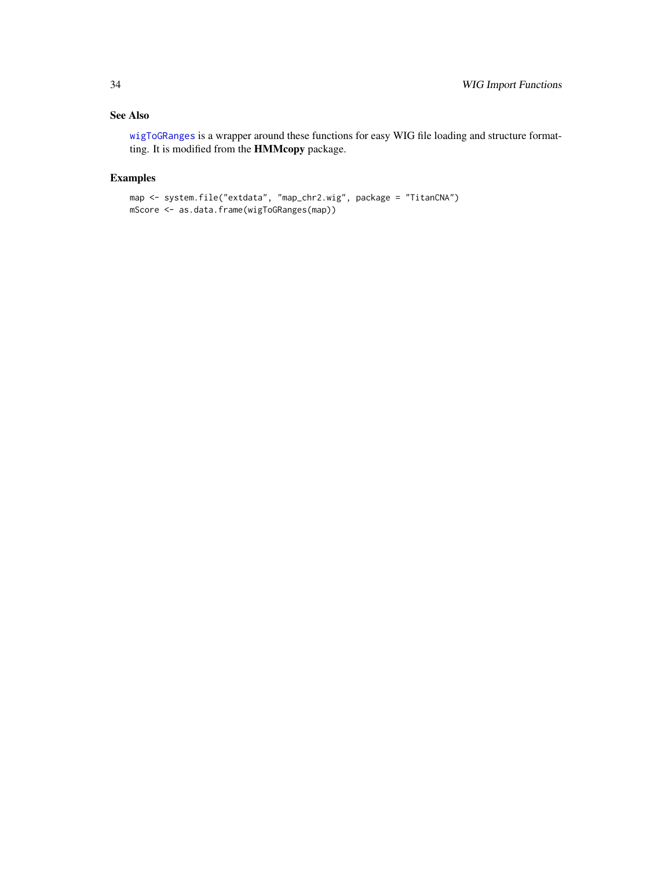# <span id="page-33-0"></span>See Also

[wigToGRanges](#page-32-1) is a wrapper around these functions for easy WIG file loading and structure formatting. It is modified from the HMMcopy package.

# Examples

```
map <- system.file("extdata", "map_chr2.wig", package = "TitanCNA")
mScore <- as.data.frame(wigToGRanges(map))
```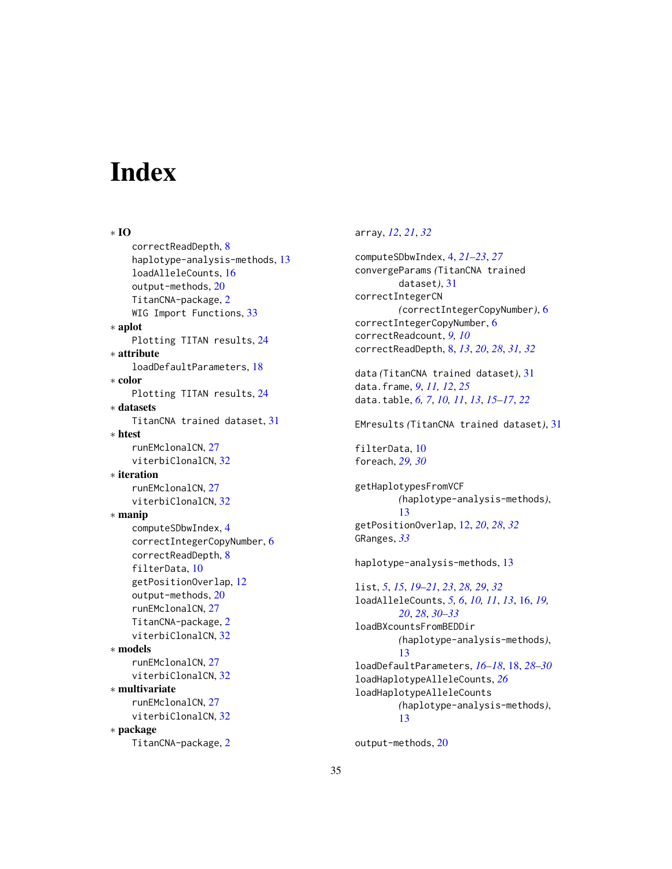# <span id="page-34-0"></span>**Index**

∗ IO correctReadDepth, [8](#page-7-0) haplotype-analysis-methods, [13](#page-12-0) loadAlleleCounts, [16](#page-15-0) output-methods, [20](#page-19-0) TitanCNA-package, [2](#page-1-0) WIG Import Functions, [33](#page-32-0) ∗ aplot Plotting TITAN results, [24](#page-23-0) ∗ attribute loadDefaultParameters, [18](#page-17-0) ∗ color Plotting TITAN results, [24](#page-23-0) ∗ datasets TitanCNA trained dataset, [31](#page-30-0) ∗ htest runEMclonalCN, [27](#page-26-0) viterbiClonalCN, [32](#page-31-0) ∗ iteration runEMclonalCN, [27](#page-26-0) viterbiClonalCN, [32](#page-31-0) ∗ manip computeSDbwIndex, [4](#page-3-0) correctIntegerCopyNumber, [6](#page-5-0) correctReadDepth, [8](#page-7-0) filterData, [10](#page-9-0) getPositionOverlap, [12](#page-11-0) output-methods, [20](#page-19-0) runEMclonalCN, [27](#page-26-0) TitanCNA-package, [2](#page-1-0) viterbiClonalCN, [32](#page-31-0) ∗ models runEMclonalCN, [27](#page-26-0) viterbiClonalCN, [32](#page-31-0) ∗ multivariate runEMclonalCN, [27](#page-26-0) viterbiClonalCN, [32](#page-31-0) ∗ package TitanCNA-package, [2](#page-1-0)

# array, *[12](#page-11-0)*, *[21](#page-20-0)*, *[32](#page-31-0)*

computeSDbwIndex, [4,](#page-3-0) *[21](#page-20-0)[–23](#page-22-0)*, *[27](#page-26-0)* convergeParams *(*TitanCNA trained dataset*)*, [31](#page-30-0) correctIntegerCN *(*correctIntegerCopyNumber*)*, [6](#page-5-0) correctIntegerCopyNumber, [6](#page-5-0) correctReadcount, *[9,](#page-8-0) [10](#page-9-0)* correctReadDepth, [8,](#page-7-0) *[13](#page-12-0)*, *[20](#page-19-0)*, *[28](#page-27-0)*, *[31,](#page-30-0) [32](#page-31-0)* data *(*TitanCNA trained dataset*)*, [31](#page-30-0) data.frame, *[9](#page-8-0)*, *[11,](#page-10-0) [12](#page-11-0)*, *[25](#page-24-0)* data.table, *[6,](#page-5-0) [7](#page-6-0)*, *[10,](#page-9-0) [11](#page-10-0)*, *[13](#page-12-0)*, *[15](#page-14-0)[–17](#page-16-0)*, *[22](#page-21-0)* EMresults *(*TitanCNA trained dataset*)*, [31](#page-30-0) filterData, [10](#page-9-0) foreach, *[29,](#page-28-0) [30](#page-29-0)* getHaplotypesFromVCF *(*haplotype-analysis-methods*)*, [13](#page-12-0) getPositionOverlap, [12,](#page-11-0) *[20](#page-19-0)*, *[28](#page-27-0)*, *[32](#page-31-0)* GRanges, *[33](#page-32-0)* haplotype-analysis-methods, [13](#page-12-0) list, *[5](#page-4-0)*, *[15](#page-14-0)*, *[19](#page-18-0)[–21](#page-20-0)*, *[23](#page-22-0)*, *[28,](#page-27-0) [29](#page-28-0)*, *[32](#page-31-0)* loadAlleleCounts, *[5,](#page-4-0) [6](#page-5-0)*, *[10,](#page-9-0) [11](#page-10-0)*, *[13](#page-12-0)*, [16,](#page-15-0) *[19,](#page-18-0) [20](#page-19-0)*, *[28](#page-27-0)*, *[30](#page-29-0)[–33](#page-32-0)* loadBXcountsFromBEDDir *(*haplotype-analysis-methods*)*, [13](#page-12-0) loadDefaultParameters, *[16](#page-15-0)[–18](#page-17-0)*, [18,](#page-17-0) *[28](#page-27-0)[–30](#page-29-0)* loadHaplotypeAlleleCounts, *[26](#page-25-0)* loadHaplotypeAlleleCounts *(*haplotype-analysis-methods*)*, [13](#page-12-0)

output-methods, [20](#page-19-0)